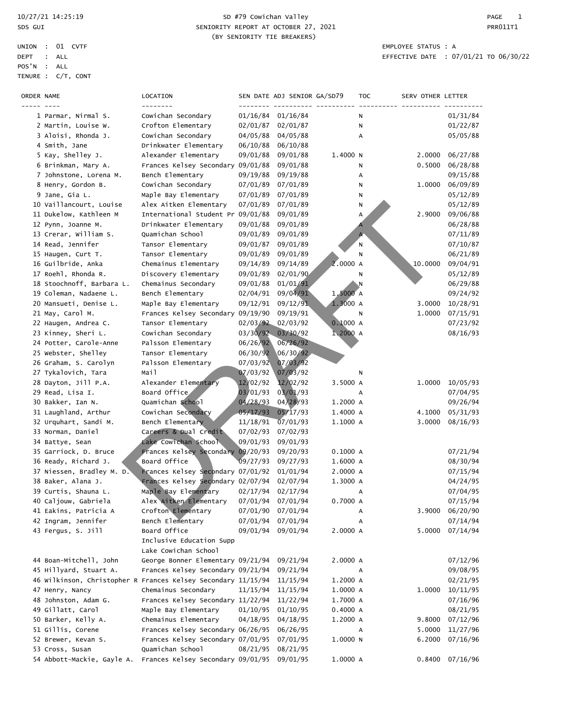### 10/27/21 14:25:19 SD #79 Cowichan Valley PAGE 1 SDS GUI SENIORITY REPORT AT OCTOBER 27, 2021 CHANGE AND REPORT AT OCTOBER 27, 2021 (BY SENIORITY TIE BREAKERS)

| --------<br>1 Parmar, Nirmal S.<br>Cowichan Secondary<br>01/16/84<br>01/16/84<br>01/31/84<br>N<br>2 Martin, Louise W.<br>Crofton Elementary<br>02/01/87<br>02/01/87<br>01/22/87<br>Ν<br>3 Aloisi, Rhonda J.<br>Cowichan Secondary<br>04/05/88<br>04/05/88<br>05/05/88<br>А<br>Drinkwater Elementary<br>06/10/88<br>4 Smith, Jane<br>06/10/88<br>5 Kay, Shelley J.<br>Alexander Elementary<br>09/01/88<br>09/01/88<br>1.4000 N<br>2,0000<br>06/27/88<br>Frances Kelsey Secondary 09/01/88<br>6 Brinkman, Mary A.<br>09/01/88<br>0.5000<br>06/28/88<br>Ν<br>Bench Elementary<br>09/19/88<br>09/19/88<br>7 Johnstone, Lorena M.<br>09/15/88<br>А<br>8 Henry, Gordon B.<br>Cowichan Secondary<br>07/01/89<br>07/01/89<br>1.0000<br>06/09/89<br>Ν<br>9 Jane, Gia L.<br>Maple Bay Elementary<br>07/01/89<br>07/01/89<br>05/12/89<br>Ν<br>10 Vaillancourt, Louise<br>Alex Aitken Elementary<br>07/01/89<br>07/01/89<br>05/12/89<br>Ν<br>11 Dukelow, Kathleen M<br>International Student Pr 09/01/88<br>2.9000<br>09/01/89<br>А<br>09/06/88<br>Drinkwater Elementary<br>09/01/88<br>12 Pynn, Joanne M.<br>09/01/89<br>06/28/88<br>13 Crerar, William S.<br>Quamichan School<br>09/01/89<br>09/01/89<br>07/11/89<br>$\mathsf{A}$<br>Tansor Elementary<br>09/01/89<br>14 Read, Jennifer<br>09/01/87<br>07/10/87<br>N<br>15 Haugen, Curt T.<br>Tansor Elementary<br>09/01/89<br>09/01/89<br>06/21/89<br>N<br>2.0000 A<br>16 Guilbride, Anka<br>Chemainus Elementary<br>09/14/89<br>09/14/89<br>10.0000<br>09/04/91<br>17 Roehl, Rhonda R.<br>Discovery Elementary<br>09/01/89<br>02/01/90<br>05/12/89<br>Ν<br>01/01/91<br>18 Stoochnoff, Barbara L.<br>Chemainus Secondary<br>09/01/88<br>N<br>06/29/88<br>09/04/91<br>1,5000 A<br>19 Coleman, Nadaene L.<br>Bench Elementary<br>02/04/91<br>09/24/92<br>20 Mansueti, Denise L.<br>$1.3000$ A<br>Maple Bay Elementary<br>09/12/91<br>09/12/91<br>3.0000<br>10/28/91<br>21 May, Carol M.<br>Frances Kelsey Secondary 09/19/90<br>09/19/91<br>1.0000<br>07/15/91<br>Ν<br>22 Haugen, Andrea C.<br>02/03/92<br>02/03/92<br>0.1000A<br>Tansor Elementary<br>07/23/92<br>03/30/92<br>1.2000 A<br>23 Kinney, Sheri L.<br>Cowichan Secondary<br>03/30/92<br>08/16/93<br>24 Potter, Carole-Anne<br>Palsson Elementary<br>06/26/92<br>06/26/92<br>25 Webster, Shelley<br>Tansor Elementary<br>06/30/92<br>06/30/92<br>07/03/92<br>26 Graham, S. Carolyn<br>Palsson Elementary<br>07/03/92<br>Mail<br>27 Tykalovich, Tara<br>07/03/92<br>07/03/92<br>N<br>28 Dayton, Jill P.A.<br>Alexander Elementary<br>12/02/92<br>12/02/92<br>3.5000 A<br>10/05/93<br>1.0000<br>29 Read, Lisa I.<br>Board Office<br>03/01/93<br>03/01/93<br>07/04/95<br>А<br>30 Bakker, Ian N.<br>Quamichan School<br>04/28/93<br>04/28/93<br>1.2000 A<br>09/26/94<br>31 Laughland, Arthur<br>Cowichan Secondary<br>05/17/93<br>1.4000 A<br>4.1000<br>05/17/93<br>05/31/93<br>32 Urquhart, Sandi M.<br>Bench Elementary<br>11/18/91<br>07/01/93<br>1.1000 A<br>3.0000<br>08/16/93<br>07/02/93<br>33 Norman, Daniel<br>Careers & Dual Credit<br>07/02/93<br>Lake Cowichan School<br>09/01/93<br>09/01/93<br>34 Battye, Sean<br>Frances Kelsey Secondary 09/20/93<br>35 Garriock, D. Bruce<br>09/20/93<br>0.1000 A<br>07/21/94<br>36 Ready, Richard J.<br>Board Office<br>09/27/93<br>1.6000 A<br>09/27/93<br>08/30/94<br>37 Niessen, Bradley M. D.<br>Frances Kelsey Secondary 07/01/92<br>01/01/94<br>2.0000 A<br>07/15/94<br>38 Baker, Alana J.<br>Frances Kelsey Secondary 02/07/94<br>02/07/94<br>1.3000 A<br>04/24/95<br>39 Curtis, Shauna L.<br>Maple Bay Elementary<br>02/17/94<br>02/17/94<br>07/04/95<br>А<br>Alex Aitken Elementary<br>07/01/94<br>07/01/94<br>0.7000 A<br>07/15/94<br>40 Caljouw, Gabriela<br>07/01/94<br>06/20/90<br>41 Eakins, Patricia A<br>Crofton Elementary<br>07/01/90<br>3.9000<br>А<br>42 Ingram, Jennifer<br>Bench Elementary<br>07/01/94<br>07/14/94<br>07/01/94<br>А<br>43 Fergus, S. Jill<br>Board Office<br>09/01/94<br>09/01/94<br>2.0000 A<br>5.0000<br>07/14/94<br>Inclusive Education Supp<br>Lake Cowichan School<br>44 Boan-Mitchell, John<br>George Bonner Elementary 09/21/94<br>09/21/94<br>2.0000 A<br>07/12/96<br>Frances Kelsey Secondary 09/21/94<br>45 Hillyard, Stuart A.<br>09/21/94<br>09/08/95<br>А<br>46 Wilkinson, Christopher R Frances Kelsey Secondary 11/15/94<br>11/15/94<br>1.2000 A<br>02/21/95<br>Chemainus Secondary<br>11/15/94<br>11/15/94<br>10/11/95<br>47 Henry, Nancy<br>1.0000 A<br>1.0000<br>48 Johnston, Adam G.<br>Frances Kelsey Secondary 11/22/94<br>11/22/94<br>1.7000 A<br>07/16/96<br>49 Gillatt, Carol<br>Maple Bay Elementary<br>08/21/95<br>01/10/95<br>01/10/95<br>0.4000 A<br>50 Barker, Kelly A.<br>Chemainus Elementary<br>04/18/95<br>04/18/95<br>07/12/96<br>1.2000 A<br>9.8000<br>51 Gillis, Corene<br>Frances Kelsey Secondary 06/26/95<br>11/27/96<br>06/26/95<br>5.0000<br>А<br>52 Brewer, Kevan S.<br>Frances Kelsey Secondary 07/01/95<br>07/01/95<br>1.0000 N<br>6.2000<br>07/16/96<br>53 Cross, Susan<br>Quamichan School<br>08/21/95<br>08/21/95<br>54 Abbott-Mackie, Gayle A.<br>Frances Kelsey Secondary 09/01/95<br>09/01/95<br>1.0000 A<br>0.8400 07/16/96 | ORDER NAME | LOCATION | SEN DATE ADJ SENIOR GA/SD79 | TOC | SERV OTHER LETTER |  |
|---------------------------------------------------------------------------------------------------------------------------------------------------------------------------------------------------------------------------------------------------------------------------------------------------------------------------------------------------------------------------------------------------------------------------------------------------------------------------------------------------------------------------------------------------------------------------------------------------------------------------------------------------------------------------------------------------------------------------------------------------------------------------------------------------------------------------------------------------------------------------------------------------------------------------------------------------------------------------------------------------------------------------------------------------------------------------------------------------------------------------------------------------------------------------------------------------------------------------------------------------------------------------------------------------------------------------------------------------------------------------------------------------------------------------------------------------------------------------------------------------------------------------------------------------------------------------------------------------------------------------------------------------------------------------------------------------------------------------------------------------------------------------------------------------------------------------------------------------------------------------------------------------------------------------------------------------------------------------------------------------------------------------------------------------------------------------------------------------------------------------------------------------------------------------------------------------------------------------------------------------------------------------------------------------------------------------------------------------------------------------------------------------------------------------------------------------------------------------------------------------------------------------------------------------------------------------------------------------------------------------------------------------------------------------------------------------------------------------------------------------------------------------------------------------------------------------------------------------------------------------------------------------------------------------------------------------------------------------------------------------------------------------------------------------------------------------------------------------------------------------------------------------------------------------------------------------------------------------------------------------------------------------------------------------------------------------------------------------------------------------------------------------------------------------------------------------------------------------------------------------------------------------------------------------------------------------------------------------------------------------------------------------------------------------------------------------------------------------------------------------------------------------------------------------------------------------------------------------------------------------------------------------------------------------------------------------------------------------------------------------------------------------------------------------------------------------------------------------------------------------------------------------------------------------------------------------------------------------------------------------------------------------------------------------------------------------------------------------------------------------------------------------------------------------------------------------------------------------------------------------------------------------------------------------------------------------------------------------------------------------------------------------------------------------------------------------------------------------------------------------------------------------------------------------------------------------------------------------------------------------------------------------------------------------------------------------------------------------------------------------------------------------------------------------------------------------------------------------------------------------------------------------------------------|------------|----------|-----------------------------|-----|-------------------|--|
|                                                                                                                                                                                                                                                                                                                                                                                                                                                                                                                                                                                                                                                                                                                                                                                                                                                                                                                                                                                                                                                                                                                                                                                                                                                                                                                                                                                                                                                                                                                                                                                                                                                                                                                                                                                                                                                                                                                                                                                                                                                                                                                                                                                                                                                                                                                                                                                                                                                                                                                                                                                                                                                                                                                                                                                                                                                                                                                                                                                                                                                                                                                                                                                                                                                                                                                                                                                                                                                                                                                                                                                                                                                                                                                                                                                                                                                                                                                                                                                                                                                                                                                                                                                                                                                                                                                                                                                                                                                                                                                                                                                                                                                                                                                                                                                                                                                                                                                                                                                                                                                                                                                                                                     |            |          |                             |     |                   |  |
|                                                                                                                                                                                                                                                                                                                                                                                                                                                                                                                                                                                                                                                                                                                                                                                                                                                                                                                                                                                                                                                                                                                                                                                                                                                                                                                                                                                                                                                                                                                                                                                                                                                                                                                                                                                                                                                                                                                                                                                                                                                                                                                                                                                                                                                                                                                                                                                                                                                                                                                                                                                                                                                                                                                                                                                                                                                                                                                                                                                                                                                                                                                                                                                                                                                                                                                                                                                                                                                                                                                                                                                                                                                                                                                                                                                                                                                                                                                                                                                                                                                                                                                                                                                                                                                                                                                                                                                                                                                                                                                                                                                                                                                                                                                                                                                                                                                                                                                                                                                                                                                                                                                                                                     |            |          |                             |     |                   |  |
|                                                                                                                                                                                                                                                                                                                                                                                                                                                                                                                                                                                                                                                                                                                                                                                                                                                                                                                                                                                                                                                                                                                                                                                                                                                                                                                                                                                                                                                                                                                                                                                                                                                                                                                                                                                                                                                                                                                                                                                                                                                                                                                                                                                                                                                                                                                                                                                                                                                                                                                                                                                                                                                                                                                                                                                                                                                                                                                                                                                                                                                                                                                                                                                                                                                                                                                                                                                                                                                                                                                                                                                                                                                                                                                                                                                                                                                                                                                                                                                                                                                                                                                                                                                                                                                                                                                                                                                                                                                                                                                                                                                                                                                                                                                                                                                                                                                                                                                                                                                                                                                                                                                                                                     |            |          |                             |     |                   |  |
|                                                                                                                                                                                                                                                                                                                                                                                                                                                                                                                                                                                                                                                                                                                                                                                                                                                                                                                                                                                                                                                                                                                                                                                                                                                                                                                                                                                                                                                                                                                                                                                                                                                                                                                                                                                                                                                                                                                                                                                                                                                                                                                                                                                                                                                                                                                                                                                                                                                                                                                                                                                                                                                                                                                                                                                                                                                                                                                                                                                                                                                                                                                                                                                                                                                                                                                                                                                                                                                                                                                                                                                                                                                                                                                                                                                                                                                                                                                                                                                                                                                                                                                                                                                                                                                                                                                                                                                                                                                                                                                                                                                                                                                                                                                                                                                                                                                                                                                                                                                                                                                                                                                                                                     |            |          |                             |     |                   |  |
|                                                                                                                                                                                                                                                                                                                                                                                                                                                                                                                                                                                                                                                                                                                                                                                                                                                                                                                                                                                                                                                                                                                                                                                                                                                                                                                                                                                                                                                                                                                                                                                                                                                                                                                                                                                                                                                                                                                                                                                                                                                                                                                                                                                                                                                                                                                                                                                                                                                                                                                                                                                                                                                                                                                                                                                                                                                                                                                                                                                                                                                                                                                                                                                                                                                                                                                                                                                                                                                                                                                                                                                                                                                                                                                                                                                                                                                                                                                                                                                                                                                                                                                                                                                                                                                                                                                                                                                                                                                                                                                                                                                                                                                                                                                                                                                                                                                                                                                                                                                                                                                                                                                                                                     |            |          |                             |     |                   |  |
|                                                                                                                                                                                                                                                                                                                                                                                                                                                                                                                                                                                                                                                                                                                                                                                                                                                                                                                                                                                                                                                                                                                                                                                                                                                                                                                                                                                                                                                                                                                                                                                                                                                                                                                                                                                                                                                                                                                                                                                                                                                                                                                                                                                                                                                                                                                                                                                                                                                                                                                                                                                                                                                                                                                                                                                                                                                                                                                                                                                                                                                                                                                                                                                                                                                                                                                                                                                                                                                                                                                                                                                                                                                                                                                                                                                                                                                                                                                                                                                                                                                                                                                                                                                                                                                                                                                                                                                                                                                                                                                                                                                                                                                                                                                                                                                                                                                                                                                                                                                                                                                                                                                                                                     |            |          |                             |     |                   |  |
|                                                                                                                                                                                                                                                                                                                                                                                                                                                                                                                                                                                                                                                                                                                                                                                                                                                                                                                                                                                                                                                                                                                                                                                                                                                                                                                                                                                                                                                                                                                                                                                                                                                                                                                                                                                                                                                                                                                                                                                                                                                                                                                                                                                                                                                                                                                                                                                                                                                                                                                                                                                                                                                                                                                                                                                                                                                                                                                                                                                                                                                                                                                                                                                                                                                                                                                                                                                                                                                                                                                                                                                                                                                                                                                                                                                                                                                                                                                                                                                                                                                                                                                                                                                                                                                                                                                                                                                                                                                                                                                                                                                                                                                                                                                                                                                                                                                                                                                                                                                                                                                                                                                                                                     |            |          |                             |     |                   |  |
|                                                                                                                                                                                                                                                                                                                                                                                                                                                                                                                                                                                                                                                                                                                                                                                                                                                                                                                                                                                                                                                                                                                                                                                                                                                                                                                                                                                                                                                                                                                                                                                                                                                                                                                                                                                                                                                                                                                                                                                                                                                                                                                                                                                                                                                                                                                                                                                                                                                                                                                                                                                                                                                                                                                                                                                                                                                                                                                                                                                                                                                                                                                                                                                                                                                                                                                                                                                                                                                                                                                                                                                                                                                                                                                                                                                                                                                                                                                                                                                                                                                                                                                                                                                                                                                                                                                                                                                                                                                                                                                                                                                                                                                                                                                                                                                                                                                                                                                                                                                                                                                                                                                                                                     |            |          |                             |     |                   |  |
|                                                                                                                                                                                                                                                                                                                                                                                                                                                                                                                                                                                                                                                                                                                                                                                                                                                                                                                                                                                                                                                                                                                                                                                                                                                                                                                                                                                                                                                                                                                                                                                                                                                                                                                                                                                                                                                                                                                                                                                                                                                                                                                                                                                                                                                                                                                                                                                                                                                                                                                                                                                                                                                                                                                                                                                                                                                                                                                                                                                                                                                                                                                                                                                                                                                                                                                                                                                                                                                                                                                                                                                                                                                                                                                                                                                                                                                                                                                                                                                                                                                                                                                                                                                                                                                                                                                                                                                                                                                                                                                                                                                                                                                                                                                                                                                                                                                                                                                                                                                                                                                                                                                                                                     |            |          |                             |     |                   |  |
|                                                                                                                                                                                                                                                                                                                                                                                                                                                                                                                                                                                                                                                                                                                                                                                                                                                                                                                                                                                                                                                                                                                                                                                                                                                                                                                                                                                                                                                                                                                                                                                                                                                                                                                                                                                                                                                                                                                                                                                                                                                                                                                                                                                                                                                                                                                                                                                                                                                                                                                                                                                                                                                                                                                                                                                                                                                                                                                                                                                                                                                                                                                                                                                                                                                                                                                                                                                                                                                                                                                                                                                                                                                                                                                                                                                                                                                                                                                                                                                                                                                                                                                                                                                                                                                                                                                                                                                                                                                                                                                                                                                                                                                                                                                                                                                                                                                                                                                                                                                                                                                                                                                                                                     |            |          |                             |     |                   |  |
|                                                                                                                                                                                                                                                                                                                                                                                                                                                                                                                                                                                                                                                                                                                                                                                                                                                                                                                                                                                                                                                                                                                                                                                                                                                                                                                                                                                                                                                                                                                                                                                                                                                                                                                                                                                                                                                                                                                                                                                                                                                                                                                                                                                                                                                                                                                                                                                                                                                                                                                                                                                                                                                                                                                                                                                                                                                                                                                                                                                                                                                                                                                                                                                                                                                                                                                                                                                                                                                                                                                                                                                                                                                                                                                                                                                                                                                                                                                                                                                                                                                                                                                                                                                                                                                                                                                                                                                                                                                                                                                                                                                                                                                                                                                                                                                                                                                                                                                                                                                                                                                                                                                                                                     |            |          |                             |     |                   |  |
|                                                                                                                                                                                                                                                                                                                                                                                                                                                                                                                                                                                                                                                                                                                                                                                                                                                                                                                                                                                                                                                                                                                                                                                                                                                                                                                                                                                                                                                                                                                                                                                                                                                                                                                                                                                                                                                                                                                                                                                                                                                                                                                                                                                                                                                                                                                                                                                                                                                                                                                                                                                                                                                                                                                                                                                                                                                                                                                                                                                                                                                                                                                                                                                                                                                                                                                                                                                                                                                                                                                                                                                                                                                                                                                                                                                                                                                                                                                                                                                                                                                                                                                                                                                                                                                                                                                                                                                                                                                                                                                                                                                                                                                                                                                                                                                                                                                                                                                                                                                                                                                                                                                                                                     |            |          |                             |     |                   |  |
|                                                                                                                                                                                                                                                                                                                                                                                                                                                                                                                                                                                                                                                                                                                                                                                                                                                                                                                                                                                                                                                                                                                                                                                                                                                                                                                                                                                                                                                                                                                                                                                                                                                                                                                                                                                                                                                                                                                                                                                                                                                                                                                                                                                                                                                                                                                                                                                                                                                                                                                                                                                                                                                                                                                                                                                                                                                                                                                                                                                                                                                                                                                                                                                                                                                                                                                                                                                                                                                                                                                                                                                                                                                                                                                                                                                                                                                                                                                                                                                                                                                                                                                                                                                                                                                                                                                                                                                                                                                                                                                                                                                                                                                                                                                                                                                                                                                                                                                                                                                                                                                                                                                                                                     |            |          |                             |     |                   |  |
|                                                                                                                                                                                                                                                                                                                                                                                                                                                                                                                                                                                                                                                                                                                                                                                                                                                                                                                                                                                                                                                                                                                                                                                                                                                                                                                                                                                                                                                                                                                                                                                                                                                                                                                                                                                                                                                                                                                                                                                                                                                                                                                                                                                                                                                                                                                                                                                                                                                                                                                                                                                                                                                                                                                                                                                                                                                                                                                                                                                                                                                                                                                                                                                                                                                                                                                                                                                                                                                                                                                                                                                                                                                                                                                                                                                                                                                                                                                                                                                                                                                                                                                                                                                                                                                                                                                                                                                                                                                                                                                                                                                                                                                                                                                                                                                                                                                                                                                                                                                                                                                                                                                                                                     |            |          |                             |     |                   |  |
|                                                                                                                                                                                                                                                                                                                                                                                                                                                                                                                                                                                                                                                                                                                                                                                                                                                                                                                                                                                                                                                                                                                                                                                                                                                                                                                                                                                                                                                                                                                                                                                                                                                                                                                                                                                                                                                                                                                                                                                                                                                                                                                                                                                                                                                                                                                                                                                                                                                                                                                                                                                                                                                                                                                                                                                                                                                                                                                                                                                                                                                                                                                                                                                                                                                                                                                                                                                                                                                                                                                                                                                                                                                                                                                                                                                                                                                                                                                                                                                                                                                                                                                                                                                                                                                                                                                                                                                                                                                                                                                                                                                                                                                                                                                                                                                                                                                                                                                                                                                                                                                                                                                                                                     |            |          |                             |     |                   |  |
|                                                                                                                                                                                                                                                                                                                                                                                                                                                                                                                                                                                                                                                                                                                                                                                                                                                                                                                                                                                                                                                                                                                                                                                                                                                                                                                                                                                                                                                                                                                                                                                                                                                                                                                                                                                                                                                                                                                                                                                                                                                                                                                                                                                                                                                                                                                                                                                                                                                                                                                                                                                                                                                                                                                                                                                                                                                                                                                                                                                                                                                                                                                                                                                                                                                                                                                                                                                                                                                                                                                                                                                                                                                                                                                                                                                                                                                                                                                                                                                                                                                                                                                                                                                                                                                                                                                                                                                                                                                                                                                                                                                                                                                                                                                                                                                                                                                                                                                                                                                                                                                                                                                                                                     |            |          |                             |     |                   |  |
|                                                                                                                                                                                                                                                                                                                                                                                                                                                                                                                                                                                                                                                                                                                                                                                                                                                                                                                                                                                                                                                                                                                                                                                                                                                                                                                                                                                                                                                                                                                                                                                                                                                                                                                                                                                                                                                                                                                                                                                                                                                                                                                                                                                                                                                                                                                                                                                                                                                                                                                                                                                                                                                                                                                                                                                                                                                                                                                                                                                                                                                                                                                                                                                                                                                                                                                                                                                                                                                                                                                                                                                                                                                                                                                                                                                                                                                                                                                                                                                                                                                                                                                                                                                                                                                                                                                                                                                                                                                                                                                                                                                                                                                                                                                                                                                                                                                                                                                                                                                                                                                                                                                                                                     |            |          |                             |     |                   |  |
|                                                                                                                                                                                                                                                                                                                                                                                                                                                                                                                                                                                                                                                                                                                                                                                                                                                                                                                                                                                                                                                                                                                                                                                                                                                                                                                                                                                                                                                                                                                                                                                                                                                                                                                                                                                                                                                                                                                                                                                                                                                                                                                                                                                                                                                                                                                                                                                                                                                                                                                                                                                                                                                                                                                                                                                                                                                                                                                                                                                                                                                                                                                                                                                                                                                                                                                                                                                                                                                                                                                                                                                                                                                                                                                                                                                                                                                                                                                                                                                                                                                                                                                                                                                                                                                                                                                                                                                                                                                                                                                                                                                                                                                                                                                                                                                                                                                                                                                                                                                                                                                                                                                                                                     |            |          |                             |     |                   |  |
|                                                                                                                                                                                                                                                                                                                                                                                                                                                                                                                                                                                                                                                                                                                                                                                                                                                                                                                                                                                                                                                                                                                                                                                                                                                                                                                                                                                                                                                                                                                                                                                                                                                                                                                                                                                                                                                                                                                                                                                                                                                                                                                                                                                                                                                                                                                                                                                                                                                                                                                                                                                                                                                                                                                                                                                                                                                                                                                                                                                                                                                                                                                                                                                                                                                                                                                                                                                                                                                                                                                                                                                                                                                                                                                                                                                                                                                                                                                                                                                                                                                                                                                                                                                                                                                                                                                                                                                                                                                                                                                                                                                                                                                                                                                                                                                                                                                                                                                                                                                                                                                                                                                                                                     |            |          |                             |     |                   |  |
|                                                                                                                                                                                                                                                                                                                                                                                                                                                                                                                                                                                                                                                                                                                                                                                                                                                                                                                                                                                                                                                                                                                                                                                                                                                                                                                                                                                                                                                                                                                                                                                                                                                                                                                                                                                                                                                                                                                                                                                                                                                                                                                                                                                                                                                                                                                                                                                                                                                                                                                                                                                                                                                                                                                                                                                                                                                                                                                                                                                                                                                                                                                                                                                                                                                                                                                                                                                                                                                                                                                                                                                                                                                                                                                                                                                                                                                                                                                                                                                                                                                                                                                                                                                                                                                                                                                                                                                                                                                                                                                                                                                                                                                                                                                                                                                                                                                                                                                                                                                                                                                                                                                                                                     |            |          |                             |     |                   |  |
|                                                                                                                                                                                                                                                                                                                                                                                                                                                                                                                                                                                                                                                                                                                                                                                                                                                                                                                                                                                                                                                                                                                                                                                                                                                                                                                                                                                                                                                                                                                                                                                                                                                                                                                                                                                                                                                                                                                                                                                                                                                                                                                                                                                                                                                                                                                                                                                                                                                                                                                                                                                                                                                                                                                                                                                                                                                                                                                                                                                                                                                                                                                                                                                                                                                                                                                                                                                                                                                                                                                                                                                                                                                                                                                                                                                                                                                                                                                                                                                                                                                                                                                                                                                                                                                                                                                                                                                                                                                                                                                                                                                                                                                                                                                                                                                                                                                                                                                                                                                                                                                                                                                                                                     |            |          |                             |     |                   |  |
|                                                                                                                                                                                                                                                                                                                                                                                                                                                                                                                                                                                                                                                                                                                                                                                                                                                                                                                                                                                                                                                                                                                                                                                                                                                                                                                                                                                                                                                                                                                                                                                                                                                                                                                                                                                                                                                                                                                                                                                                                                                                                                                                                                                                                                                                                                                                                                                                                                                                                                                                                                                                                                                                                                                                                                                                                                                                                                                                                                                                                                                                                                                                                                                                                                                                                                                                                                                                                                                                                                                                                                                                                                                                                                                                                                                                                                                                                                                                                                                                                                                                                                                                                                                                                                                                                                                                                                                                                                                                                                                                                                                                                                                                                                                                                                                                                                                                                                                                                                                                                                                                                                                                                                     |            |          |                             |     |                   |  |
|                                                                                                                                                                                                                                                                                                                                                                                                                                                                                                                                                                                                                                                                                                                                                                                                                                                                                                                                                                                                                                                                                                                                                                                                                                                                                                                                                                                                                                                                                                                                                                                                                                                                                                                                                                                                                                                                                                                                                                                                                                                                                                                                                                                                                                                                                                                                                                                                                                                                                                                                                                                                                                                                                                                                                                                                                                                                                                                                                                                                                                                                                                                                                                                                                                                                                                                                                                                                                                                                                                                                                                                                                                                                                                                                                                                                                                                                                                                                                                                                                                                                                                                                                                                                                                                                                                                                                                                                                                                                                                                                                                                                                                                                                                                                                                                                                                                                                                                                                                                                                                                                                                                                                                     |            |          |                             |     |                   |  |
|                                                                                                                                                                                                                                                                                                                                                                                                                                                                                                                                                                                                                                                                                                                                                                                                                                                                                                                                                                                                                                                                                                                                                                                                                                                                                                                                                                                                                                                                                                                                                                                                                                                                                                                                                                                                                                                                                                                                                                                                                                                                                                                                                                                                                                                                                                                                                                                                                                                                                                                                                                                                                                                                                                                                                                                                                                                                                                                                                                                                                                                                                                                                                                                                                                                                                                                                                                                                                                                                                                                                                                                                                                                                                                                                                                                                                                                                                                                                                                                                                                                                                                                                                                                                                                                                                                                                                                                                                                                                                                                                                                                                                                                                                                                                                                                                                                                                                                                                                                                                                                                                                                                                                                     |            |          |                             |     |                   |  |
|                                                                                                                                                                                                                                                                                                                                                                                                                                                                                                                                                                                                                                                                                                                                                                                                                                                                                                                                                                                                                                                                                                                                                                                                                                                                                                                                                                                                                                                                                                                                                                                                                                                                                                                                                                                                                                                                                                                                                                                                                                                                                                                                                                                                                                                                                                                                                                                                                                                                                                                                                                                                                                                                                                                                                                                                                                                                                                                                                                                                                                                                                                                                                                                                                                                                                                                                                                                                                                                                                                                                                                                                                                                                                                                                                                                                                                                                                                                                                                                                                                                                                                                                                                                                                                                                                                                                                                                                                                                                                                                                                                                                                                                                                                                                                                                                                                                                                                                                                                                                                                                                                                                                                                     |            |          |                             |     |                   |  |
|                                                                                                                                                                                                                                                                                                                                                                                                                                                                                                                                                                                                                                                                                                                                                                                                                                                                                                                                                                                                                                                                                                                                                                                                                                                                                                                                                                                                                                                                                                                                                                                                                                                                                                                                                                                                                                                                                                                                                                                                                                                                                                                                                                                                                                                                                                                                                                                                                                                                                                                                                                                                                                                                                                                                                                                                                                                                                                                                                                                                                                                                                                                                                                                                                                                                                                                                                                                                                                                                                                                                                                                                                                                                                                                                                                                                                                                                                                                                                                                                                                                                                                                                                                                                                                                                                                                                                                                                                                                                                                                                                                                                                                                                                                                                                                                                                                                                                                                                                                                                                                                                                                                                                                     |            |          |                             |     |                   |  |
|                                                                                                                                                                                                                                                                                                                                                                                                                                                                                                                                                                                                                                                                                                                                                                                                                                                                                                                                                                                                                                                                                                                                                                                                                                                                                                                                                                                                                                                                                                                                                                                                                                                                                                                                                                                                                                                                                                                                                                                                                                                                                                                                                                                                                                                                                                                                                                                                                                                                                                                                                                                                                                                                                                                                                                                                                                                                                                                                                                                                                                                                                                                                                                                                                                                                                                                                                                                                                                                                                                                                                                                                                                                                                                                                                                                                                                                                                                                                                                                                                                                                                                                                                                                                                                                                                                                                                                                                                                                                                                                                                                                                                                                                                                                                                                                                                                                                                                                                                                                                                                                                                                                                                                     |            |          |                             |     |                   |  |
|                                                                                                                                                                                                                                                                                                                                                                                                                                                                                                                                                                                                                                                                                                                                                                                                                                                                                                                                                                                                                                                                                                                                                                                                                                                                                                                                                                                                                                                                                                                                                                                                                                                                                                                                                                                                                                                                                                                                                                                                                                                                                                                                                                                                                                                                                                                                                                                                                                                                                                                                                                                                                                                                                                                                                                                                                                                                                                                                                                                                                                                                                                                                                                                                                                                                                                                                                                                                                                                                                                                                                                                                                                                                                                                                                                                                                                                                                                                                                                                                                                                                                                                                                                                                                                                                                                                                                                                                                                                                                                                                                                                                                                                                                                                                                                                                                                                                                                                                                                                                                                                                                                                                                                     |            |          |                             |     |                   |  |
|                                                                                                                                                                                                                                                                                                                                                                                                                                                                                                                                                                                                                                                                                                                                                                                                                                                                                                                                                                                                                                                                                                                                                                                                                                                                                                                                                                                                                                                                                                                                                                                                                                                                                                                                                                                                                                                                                                                                                                                                                                                                                                                                                                                                                                                                                                                                                                                                                                                                                                                                                                                                                                                                                                                                                                                                                                                                                                                                                                                                                                                                                                                                                                                                                                                                                                                                                                                                                                                                                                                                                                                                                                                                                                                                                                                                                                                                                                                                                                                                                                                                                                                                                                                                                                                                                                                                                                                                                                                                                                                                                                                                                                                                                                                                                                                                                                                                                                                                                                                                                                                                                                                                                                     |            |          |                             |     |                   |  |
|                                                                                                                                                                                                                                                                                                                                                                                                                                                                                                                                                                                                                                                                                                                                                                                                                                                                                                                                                                                                                                                                                                                                                                                                                                                                                                                                                                                                                                                                                                                                                                                                                                                                                                                                                                                                                                                                                                                                                                                                                                                                                                                                                                                                                                                                                                                                                                                                                                                                                                                                                                                                                                                                                                                                                                                                                                                                                                                                                                                                                                                                                                                                                                                                                                                                                                                                                                                                                                                                                                                                                                                                                                                                                                                                                                                                                                                                                                                                                                                                                                                                                                                                                                                                                                                                                                                                                                                                                                                                                                                                                                                                                                                                                                                                                                                                                                                                                                                                                                                                                                                                                                                                                                     |            |          |                             |     |                   |  |
|                                                                                                                                                                                                                                                                                                                                                                                                                                                                                                                                                                                                                                                                                                                                                                                                                                                                                                                                                                                                                                                                                                                                                                                                                                                                                                                                                                                                                                                                                                                                                                                                                                                                                                                                                                                                                                                                                                                                                                                                                                                                                                                                                                                                                                                                                                                                                                                                                                                                                                                                                                                                                                                                                                                                                                                                                                                                                                                                                                                                                                                                                                                                                                                                                                                                                                                                                                                                                                                                                                                                                                                                                                                                                                                                                                                                                                                                                                                                                                                                                                                                                                                                                                                                                                                                                                                                                                                                                                                                                                                                                                                                                                                                                                                                                                                                                                                                                                                                                                                                                                                                                                                                                                     |            |          |                             |     |                   |  |
|                                                                                                                                                                                                                                                                                                                                                                                                                                                                                                                                                                                                                                                                                                                                                                                                                                                                                                                                                                                                                                                                                                                                                                                                                                                                                                                                                                                                                                                                                                                                                                                                                                                                                                                                                                                                                                                                                                                                                                                                                                                                                                                                                                                                                                                                                                                                                                                                                                                                                                                                                                                                                                                                                                                                                                                                                                                                                                                                                                                                                                                                                                                                                                                                                                                                                                                                                                                                                                                                                                                                                                                                                                                                                                                                                                                                                                                                                                                                                                                                                                                                                                                                                                                                                                                                                                                                                                                                                                                                                                                                                                                                                                                                                                                                                                                                                                                                                                                                                                                                                                                                                                                                                                     |            |          |                             |     |                   |  |
|                                                                                                                                                                                                                                                                                                                                                                                                                                                                                                                                                                                                                                                                                                                                                                                                                                                                                                                                                                                                                                                                                                                                                                                                                                                                                                                                                                                                                                                                                                                                                                                                                                                                                                                                                                                                                                                                                                                                                                                                                                                                                                                                                                                                                                                                                                                                                                                                                                                                                                                                                                                                                                                                                                                                                                                                                                                                                                                                                                                                                                                                                                                                                                                                                                                                                                                                                                                                                                                                                                                                                                                                                                                                                                                                                                                                                                                                                                                                                                                                                                                                                                                                                                                                                                                                                                                                                                                                                                                                                                                                                                                                                                                                                                                                                                                                                                                                                                                                                                                                                                                                                                                                                                     |            |          |                             |     |                   |  |
|                                                                                                                                                                                                                                                                                                                                                                                                                                                                                                                                                                                                                                                                                                                                                                                                                                                                                                                                                                                                                                                                                                                                                                                                                                                                                                                                                                                                                                                                                                                                                                                                                                                                                                                                                                                                                                                                                                                                                                                                                                                                                                                                                                                                                                                                                                                                                                                                                                                                                                                                                                                                                                                                                                                                                                                                                                                                                                                                                                                                                                                                                                                                                                                                                                                                                                                                                                                                                                                                                                                                                                                                                                                                                                                                                                                                                                                                                                                                                                                                                                                                                                                                                                                                                                                                                                                                                                                                                                                                                                                                                                                                                                                                                                                                                                                                                                                                                                                                                                                                                                                                                                                                                                     |            |          |                             |     |                   |  |
|                                                                                                                                                                                                                                                                                                                                                                                                                                                                                                                                                                                                                                                                                                                                                                                                                                                                                                                                                                                                                                                                                                                                                                                                                                                                                                                                                                                                                                                                                                                                                                                                                                                                                                                                                                                                                                                                                                                                                                                                                                                                                                                                                                                                                                                                                                                                                                                                                                                                                                                                                                                                                                                                                                                                                                                                                                                                                                                                                                                                                                                                                                                                                                                                                                                                                                                                                                                                                                                                                                                                                                                                                                                                                                                                                                                                                                                                                                                                                                                                                                                                                                                                                                                                                                                                                                                                                                                                                                                                                                                                                                                                                                                                                                                                                                                                                                                                                                                                                                                                                                                                                                                                                                     |            |          |                             |     |                   |  |
|                                                                                                                                                                                                                                                                                                                                                                                                                                                                                                                                                                                                                                                                                                                                                                                                                                                                                                                                                                                                                                                                                                                                                                                                                                                                                                                                                                                                                                                                                                                                                                                                                                                                                                                                                                                                                                                                                                                                                                                                                                                                                                                                                                                                                                                                                                                                                                                                                                                                                                                                                                                                                                                                                                                                                                                                                                                                                                                                                                                                                                                                                                                                                                                                                                                                                                                                                                                                                                                                                                                                                                                                                                                                                                                                                                                                                                                                                                                                                                                                                                                                                                                                                                                                                                                                                                                                                                                                                                                                                                                                                                                                                                                                                                                                                                                                                                                                                                                                                                                                                                                                                                                                                                     |            |          |                             |     |                   |  |
|                                                                                                                                                                                                                                                                                                                                                                                                                                                                                                                                                                                                                                                                                                                                                                                                                                                                                                                                                                                                                                                                                                                                                                                                                                                                                                                                                                                                                                                                                                                                                                                                                                                                                                                                                                                                                                                                                                                                                                                                                                                                                                                                                                                                                                                                                                                                                                                                                                                                                                                                                                                                                                                                                                                                                                                                                                                                                                                                                                                                                                                                                                                                                                                                                                                                                                                                                                                                                                                                                                                                                                                                                                                                                                                                                                                                                                                                                                                                                                                                                                                                                                                                                                                                                                                                                                                                                                                                                                                                                                                                                                                                                                                                                                                                                                                                                                                                                                                                                                                                                                                                                                                                                                     |            |          |                             |     |                   |  |
|                                                                                                                                                                                                                                                                                                                                                                                                                                                                                                                                                                                                                                                                                                                                                                                                                                                                                                                                                                                                                                                                                                                                                                                                                                                                                                                                                                                                                                                                                                                                                                                                                                                                                                                                                                                                                                                                                                                                                                                                                                                                                                                                                                                                                                                                                                                                                                                                                                                                                                                                                                                                                                                                                                                                                                                                                                                                                                                                                                                                                                                                                                                                                                                                                                                                                                                                                                                                                                                                                                                                                                                                                                                                                                                                                                                                                                                                                                                                                                                                                                                                                                                                                                                                                                                                                                                                                                                                                                                                                                                                                                                                                                                                                                                                                                                                                                                                                                                                                                                                                                                                                                                                                                     |            |          |                             |     |                   |  |
|                                                                                                                                                                                                                                                                                                                                                                                                                                                                                                                                                                                                                                                                                                                                                                                                                                                                                                                                                                                                                                                                                                                                                                                                                                                                                                                                                                                                                                                                                                                                                                                                                                                                                                                                                                                                                                                                                                                                                                                                                                                                                                                                                                                                                                                                                                                                                                                                                                                                                                                                                                                                                                                                                                                                                                                                                                                                                                                                                                                                                                                                                                                                                                                                                                                                                                                                                                                                                                                                                                                                                                                                                                                                                                                                                                                                                                                                                                                                                                                                                                                                                                                                                                                                                                                                                                                                                                                                                                                                                                                                                                                                                                                                                                                                                                                                                                                                                                                                                                                                                                                                                                                                                                     |            |          |                             |     |                   |  |
|                                                                                                                                                                                                                                                                                                                                                                                                                                                                                                                                                                                                                                                                                                                                                                                                                                                                                                                                                                                                                                                                                                                                                                                                                                                                                                                                                                                                                                                                                                                                                                                                                                                                                                                                                                                                                                                                                                                                                                                                                                                                                                                                                                                                                                                                                                                                                                                                                                                                                                                                                                                                                                                                                                                                                                                                                                                                                                                                                                                                                                                                                                                                                                                                                                                                                                                                                                                                                                                                                                                                                                                                                                                                                                                                                                                                                                                                                                                                                                                                                                                                                                                                                                                                                                                                                                                                                                                                                                                                                                                                                                                                                                                                                                                                                                                                                                                                                                                                                                                                                                                                                                                                                                     |            |          |                             |     |                   |  |
|                                                                                                                                                                                                                                                                                                                                                                                                                                                                                                                                                                                                                                                                                                                                                                                                                                                                                                                                                                                                                                                                                                                                                                                                                                                                                                                                                                                                                                                                                                                                                                                                                                                                                                                                                                                                                                                                                                                                                                                                                                                                                                                                                                                                                                                                                                                                                                                                                                                                                                                                                                                                                                                                                                                                                                                                                                                                                                                                                                                                                                                                                                                                                                                                                                                                                                                                                                                                                                                                                                                                                                                                                                                                                                                                                                                                                                                                                                                                                                                                                                                                                                                                                                                                                                                                                                                                                                                                                                                                                                                                                                                                                                                                                                                                                                                                                                                                                                                                                                                                                                                                                                                                                                     |            |          |                             |     |                   |  |
|                                                                                                                                                                                                                                                                                                                                                                                                                                                                                                                                                                                                                                                                                                                                                                                                                                                                                                                                                                                                                                                                                                                                                                                                                                                                                                                                                                                                                                                                                                                                                                                                                                                                                                                                                                                                                                                                                                                                                                                                                                                                                                                                                                                                                                                                                                                                                                                                                                                                                                                                                                                                                                                                                                                                                                                                                                                                                                                                                                                                                                                                                                                                                                                                                                                                                                                                                                                                                                                                                                                                                                                                                                                                                                                                                                                                                                                                                                                                                                                                                                                                                                                                                                                                                                                                                                                                                                                                                                                                                                                                                                                                                                                                                                                                                                                                                                                                                                                                                                                                                                                                                                                                                                     |            |          |                             |     |                   |  |
|                                                                                                                                                                                                                                                                                                                                                                                                                                                                                                                                                                                                                                                                                                                                                                                                                                                                                                                                                                                                                                                                                                                                                                                                                                                                                                                                                                                                                                                                                                                                                                                                                                                                                                                                                                                                                                                                                                                                                                                                                                                                                                                                                                                                                                                                                                                                                                                                                                                                                                                                                                                                                                                                                                                                                                                                                                                                                                                                                                                                                                                                                                                                                                                                                                                                                                                                                                                                                                                                                                                                                                                                                                                                                                                                                                                                                                                                                                                                                                                                                                                                                                                                                                                                                                                                                                                                                                                                                                                                                                                                                                                                                                                                                                                                                                                                                                                                                                                                                                                                                                                                                                                                                                     |            |          |                             |     |                   |  |
|                                                                                                                                                                                                                                                                                                                                                                                                                                                                                                                                                                                                                                                                                                                                                                                                                                                                                                                                                                                                                                                                                                                                                                                                                                                                                                                                                                                                                                                                                                                                                                                                                                                                                                                                                                                                                                                                                                                                                                                                                                                                                                                                                                                                                                                                                                                                                                                                                                                                                                                                                                                                                                                                                                                                                                                                                                                                                                                                                                                                                                                                                                                                                                                                                                                                                                                                                                                                                                                                                                                                                                                                                                                                                                                                                                                                                                                                                                                                                                                                                                                                                                                                                                                                                                                                                                                                                                                                                                                                                                                                                                                                                                                                                                                                                                                                                                                                                                                                                                                                                                                                                                                                                                     |            |          |                             |     |                   |  |
|                                                                                                                                                                                                                                                                                                                                                                                                                                                                                                                                                                                                                                                                                                                                                                                                                                                                                                                                                                                                                                                                                                                                                                                                                                                                                                                                                                                                                                                                                                                                                                                                                                                                                                                                                                                                                                                                                                                                                                                                                                                                                                                                                                                                                                                                                                                                                                                                                                                                                                                                                                                                                                                                                                                                                                                                                                                                                                                                                                                                                                                                                                                                                                                                                                                                                                                                                                                                                                                                                                                                                                                                                                                                                                                                                                                                                                                                                                                                                                                                                                                                                                                                                                                                                                                                                                                                                                                                                                                                                                                                                                                                                                                                                                                                                                                                                                                                                                                                                                                                                                                                                                                                                                     |            |          |                             |     |                   |  |
|                                                                                                                                                                                                                                                                                                                                                                                                                                                                                                                                                                                                                                                                                                                                                                                                                                                                                                                                                                                                                                                                                                                                                                                                                                                                                                                                                                                                                                                                                                                                                                                                                                                                                                                                                                                                                                                                                                                                                                                                                                                                                                                                                                                                                                                                                                                                                                                                                                                                                                                                                                                                                                                                                                                                                                                                                                                                                                                                                                                                                                                                                                                                                                                                                                                                                                                                                                                                                                                                                                                                                                                                                                                                                                                                                                                                                                                                                                                                                                                                                                                                                                                                                                                                                                                                                                                                                                                                                                                                                                                                                                                                                                                                                                                                                                                                                                                                                                                                                                                                                                                                                                                                                                     |            |          |                             |     |                   |  |
|                                                                                                                                                                                                                                                                                                                                                                                                                                                                                                                                                                                                                                                                                                                                                                                                                                                                                                                                                                                                                                                                                                                                                                                                                                                                                                                                                                                                                                                                                                                                                                                                                                                                                                                                                                                                                                                                                                                                                                                                                                                                                                                                                                                                                                                                                                                                                                                                                                                                                                                                                                                                                                                                                                                                                                                                                                                                                                                                                                                                                                                                                                                                                                                                                                                                                                                                                                                                                                                                                                                                                                                                                                                                                                                                                                                                                                                                                                                                                                                                                                                                                                                                                                                                                                                                                                                                                                                                                                                                                                                                                                                                                                                                                                                                                                                                                                                                                                                                                                                                                                                                                                                                                                     |            |          |                             |     |                   |  |
|                                                                                                                                                                                                                                                                                                                                                                                                                                                                                                                                                                                                                                                                                                                                                                                                                                                                                                                                                                                                                                                                                                                                                                                                                                                                                                                                                                                                                                                                                                                                                                                                                                                                                                                                                                                                                                                                                                                                                                                                                                                                                                                                                                                                                                                                                                                                                                                                                                                                                                                                                                                                                                                                                                                                                                                                                                                                                                                                                                                                                                                                                                                                                                                                                                                                                                                                                                                                                                                                                                                                                                                                                                                                                                                                                                                                                                                                                                                                                                                                                                                                                                                                                                                                                                                                                                                                                                                                                                                                                                                                                                                                                                                                                                                                                                                                                                                                                                                                                                                                                                                                                                                                                                     |            |          |                             |     |                   |  |
|                                                                                                                                                                                                                                                                                                                                                                                                                                                                                                                                                                                                                                                                                                                                                                                                                                                                                                                                                                                                                                                                                                                                                                                                                                                                                                                                                                                                                                                                                                                                                                                                                                                                                                                                                                                                                                                                                                                                                                                                                                                                                                                                                                                                                                                                                                                                                                                                                                                                                                                                                                                                                                                                                                                                                                                                                                                                                                                                                                                                                                                                                                                                                                                                                                                                                                                                                                                                                                                                                                                                                                                                                                                                                                                                                                                                                                                                                                                                                                                                                                                                                                                                                                                                                                                                                                                                                                                                                                                                                                                                                                                                                                                                                                                                                                                                                                                                                                                                                                                                                                                                                                                                                                     |            |          |                             |     |                   |  |
|                                                                                                                                                                                                                                                                                                                                                                                                                                                                                                                                                                                                                                                                                                                                                                                                                                                                                                                                                                                                                                                                                                                                                                                                                                                                                                                                                                                                                                                                                                                                                                                                                                                                                                                                                                                                                                                                                                                                                                                                                                                                                                                                                                                                                                                                                                                                                                                                                                                                                                                                                                                                                                                                                                                                                                                                                                                                                                                                                                                                                                                                                                                                                                                                                                                                                                                                                                                                                                                                                                                                                                                                                                                                                                                                                                                                                                                                                                                                                                                                                                                                                                                                                                                                                                                                                                                                                                                                                                                                                                                                                                                                                                                                                                                                                                                                                                                                                                                                                                                                                                                                                                                                                                     |            |          |                             |     |                   |  |
|                                                                                                                                                                                                                                                                                                                                                                                                                                                                                                                                                                                                                                                                                                                                                                                                                                                                                                                                                                                                                                                                                                                                                                                                                                                                                                                                                                                                                                                                                                                                                                                                                                                                                                                                                                                                                                                                                                                                                                                                                                                                                                                                                                                                                                                                                                                                                                                                                                                                                                                                                                                                                                                                                                                                                                                                                                                                                                                                                                                                                                                                                                                                                                                                                                                                                                                                                                                                                                                                                                                                                                                                                                                                                                                                                                                                                                                                                                                                                                                                                                                                                                                                                                                                                                                                                                                                                                                                                                                                                                                                                                                                                                                                                                                                                                                                                                                                                                                                                                                                                                                                                                                                                                     |            |          |                             |     |                   |  |
|                                                                                                                                                                                                                                                                                                                                                                                                                                                                                                                                                                                                                                                                                                                                                                                                                                                                                                                                                                                                                                                                                                                                                                                                                                                                                                                                                                                                                                                                                                                                                                                                                                                                                                                                                                                                                                                                                                                                                                                                                                                                                                                                                                                                                                                                                                                                                                                                                                                                                                                                                                                                                                                                                                                                                                                                                                                                                                                                                                                                                                                                                                                                                                                                                                                                                                                                                                                                                                                                                                                                                                                                                                                                                                                                                                                                                                                                                                                                                                                                                                                                                                                                                                                                                                                                                                                                                                                                                                                                                                                                                                                                                                                                                                                                                                                                                                                                                                                                                                                                                                                                                                                                                                     |            |          |                             |     |                   |  |
|                                                                                                                                                                                                                                                                                                                                                                                                                                                                                                                                                                                                                                                                                                                                                                                                                                                                                                                                                                                                                                                                                                                                                                                                                                                                                                                                                                                                                                                                                                                                                                                                                                                                                                                                                                                                                                                                                                                                                                                                                                                                                                                                                                                                                                                                                                                                                                                                                                                                                                                                                                                                                                                                                                                                                                                                                                                                                                                                                                                                                                                                                                                                                                                                                                                                                                                                                                                                                                                                                                                                                                                                                                                                                                                                                                                                                                                                                                                                                                                                                                                                                                                                                                                                                                                                                                                                                                                                                                                                                                                                                                                                                                                                                                                                                                                                                                                                                                                                                                                                                                                                                                                                                                     |            |          |                             |     |                   |  |
|                                                                                                                                                                                                                                                                                                                                                                                                                                                                                                                                                                                                                                                                                                                                                                                                                                                                                                                                                                                                                                                                                                                                                                                                                                                                                                                                                                                                                                                                                                                                                                                                                                                                                                                                                                                                                                                                                                                                                                                                                                                                                                                                                                                                                                                                                                                                                                                                                                                                                                                                                                                                                                                                                                                                                                                                                                                                                                                                                                                                                                                                                                                                                                                                                                                                                                                                                                                                                                                                                                                                                                                                                                                                                                                                                                                                                                                                                                                                                                                                                                                                                                                                                                                                                                                                                                                                                                                                                                                                                                                                                                                                                                                                                                                                                                                                                                                                                                                                                                                                                                                                                                                                                                     |            |          |                             |     |                   |  |
|                                                                                                                                                                                                                                                                                                                                                                                                                                                                                                                                                                                                                                                                                                                                                                                                                                                                                                                                                                                                                                                                                                                                                                                                                                                                                                                                                                                                                                                                                                                                                                                                                                                                                                                                                                                                                                                                                                                                                                                                                                                                                                                                                                                                                                                                                                                                                                                                                                                                                                                                                                                                                                                                                                                                                                                                                                                                                                                                                                                                                                                                                                                                                                                                                                                                                                                                                                                                                                                                                                                                                                                                                                                                                                                                                                                                                                                                                                                                                                                                                                                                                                                                                                                                                                                                                                                                                                                                                                                                                                                                                                                                                                                                                                                                                                                                                                                                                                                                                                                                                                                                                                                                                                     |            |          |                             |     |                   |  |
|                                                                                                                                                                                                                                                                                                                                                                                                                                                                                                                                                                                                                                                                                                                                                                                                                                                                                                                                                                                                                                                                                                                                                                                                                                                                                                                                                                                                                                                                                                                                                                                                                                                                                                                                                                                                                                                                                                                                                                                                                                                                                                                                                                                                                                                                                                                                                                                                                                                                                                                                                                                                                                                                                                                                                                                                                                                                                                                                                                                                                                                                                                                                                                                                                                                                                                                                                                                                                                                                                                                                                                                                                                                                                                                                                                                                                                                                                                                                                                                                                                                                                                                                                                                                                                                                                                                                                                                                                                                                                                                                                                                                                                                                                                                                                                                                                                                                                                                                                                                                                                                                                                                                                                     |            |          |                             |     |                   |  |
|                                                                                                                                                                                                                                                                                                                                                                                                                                                                                                                                                                                                                                                                                                                                                                                                                                                                                                                                                                                                                                                                                                                                                                                                                                                                                                                                                                                                                                                                                                                                                                                                                                                                                                                                                                                                                                                                                                                                                                                                                                                                                                                                                                                                                                                                                                                                                                                                                                                                                                                                                                                                                                                                                                                                                                                                                                                                                                                                                                                                                                                                                                                                                                                                                                                                                                                                                                                                                                                                                                                                                                                                                                                                                                                                                                                                                                                                                                                                                                                                                                                                                                                                                                                                                                                                                                                                                                                                                                                                                                                                                                                                                                                                                                                                                                                                                                                                                                                                                                                                                                                                                                                                                                     |            |          |                             |     |                   |  |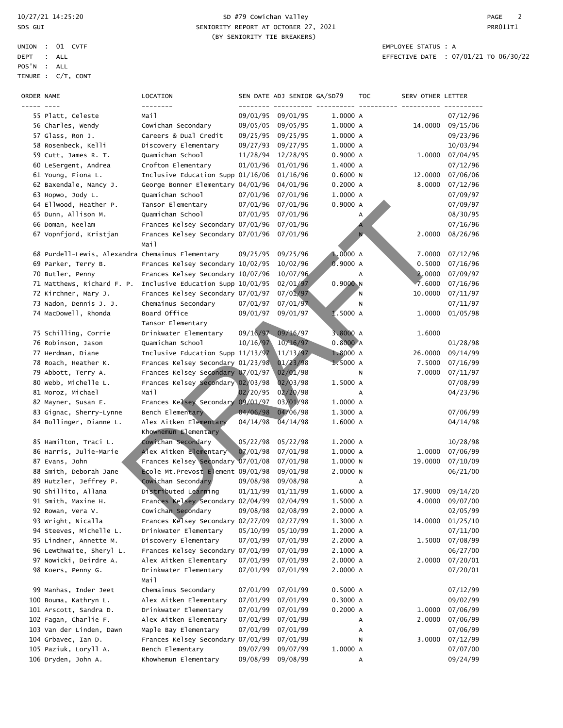| ORDER NAME |                                                  | LOCATION                                  |          | SEN DATE ADJ SENIOR GA/SD79 |          | TOC | SERV OTHER LETTER |          |
|------------|--------------------------------------------------|-------------------------------------------|----------|-----------------------------|----------|-----|-------------------|----------|
|            |                                                  | --------                                  |          |                             |          |     |                   |          |
|            | 55 Platt, Celeste                                | Mail                                      | 09/01/95 | 09/01/95                    | 1.0000 A |     |                   | 07/12/96 |
|            | 56 Charles, Wendy                                | Cowichan Secondary                        | 09/05/05 | 09/05/95                    | 1.0000 A |     | 14.0000           | 09/15/06 |
|            | 57 Glass, Ron J.                                 | Careers & Dual Credit                     | 09/25/95 | 09/25/95                    | 1.0000 A |     |                   | 09/23/96 |
|            | 58 Rosenbeck, Kelli                              | Discovery Elementary                      | 09/27/93 | 09/27/95                    | 1.0000 A |     |                   | 10/03/94 |
|            | 59 Cutt, James R. T.                             | Quamichan School                          | 11/28/94 | 12/28/95                    | 0.9000 A |     | 1.0000            | 07/04/95 |
|            | 60 LeSergent, Andrea                             | Crofton Elementary                        | 01/01/96 | 01/01/96                    | 1.4000 A |     |                   | 07/12/96 |
|            | 61 Young, Fiona L.                               | Inclusive Education Supp 01/16/06         |          | 01/16/96                    | 0.6000 N |     | 12.0000           | 07/06/06 |
|            | 62 Baxendale, Nancy J.                           | George Bonner Elementary 04/01/96         |          | 04/01/96                    | 0.2000A  |     | 8,0000            | 07/12/96 |
|            | 63 Hopwo, Jody L.                                | Quamichan School                          | 07/01/96 | 07/01/96                    | 1.0000 A |     |                   | 07/09/97 |
|            | 64 Ellwood, Heather P.                           | Tansor Elementary                         | 07/01/96 | 07/01/96                    | 0.9000 A |     |                   | 07/09/97 |
|            | 65 Dunn, Allison M.                              | Quamichan School                          | 07/01/95 | 07/01/96                    |          | А   |                   | 08/30/95 |
|            | 66 Doman, Neelam                                 | Frances Kelsey Secondary 07/01/96         |          | 07/01/96                    |          |     |                   | 07/16/96 |
|            | 67 Vopnfjord, Kristjan                           | Frances Kelsey Secondary 07/01/96<br>Mail |          | 07/01/96                    |          | N   | 2.0000            | 08/26/96 |
|            | 68 Purdell-Lewis, Alexandra Chemainus Elementary |                                           | 09/25/95 | 09/25/96                    | 1.0000A  |     | 7.0000            | 07/12/96 |
|            | 69 Parker, Terry B.                              | Frances Kelsey Secondary 10/02/95         |          | 10/02/96                    | 0.9000A  |     | 0.5000            | 07/16/96 |
|            | 70 Butler, Penny                                 | Frances Kelsey Secondary 10/07/96         |          | 10/07/96                    |          | А   | 2.0000            | 07/09/97 |
|            | 71 Matthews, Richard F. P.                       | Inclusive Education Supp 10/01/95         |          | 02/01/97                    | 0.9000N  |     | 7.6000            | 07/16/96 |
|            | 72 Kirchner, Mary J.                             | Frances Kelsey Secondary 07/01/97         |          | 07/01/97                    |          | Ν   | 10.0000           | 07/11/97 |
|            | 73 Nadon, Dennis J. J.                           | Chemainus Secondary                       | 07/01/97 | 07/01/97                    |          | Ν   |                   | 07/11/97 |
|            | 74 MacDowell, Rhonda                             | Board Office                              | 09/01/97 | 09/01/97                    | 1.5000 A |     | 1.0000            | 01/05/98 |
|            |                                                  | Tansor Elementary                         |          |                             |          |     |                   |          |
|            | 75 Schilling, Corrie                             | Drinkwater Elementary                     | 09/16/97 | 09/16/97                    | 3.8000 A |     | 1.6000            |          |
|            | 76 Robinson, Jason                               | Ouamichan School                          | 10/16/97 | 10/16/97                    | 0.8000A  |     |                   | 01/28/98 |
|            | 77 Herdman, Diane                                | Inclusive Education Supp 11/13/97         |          | 11/13/97                    | 1.8000 A |     | 26.0000           | 09/14/99 |
|            | 78 Roach, Heather K.                             | Frances Kelsey Secondary 01/23/98         |          | 01/23/98                    | 1.5000A  |     | 7.5000            | 07/16/99 |
|            | 79 Abbott, Terry A.                              | Frances Kelsey Secondary 07/01/97         |          | 02/01/98                    |          | N   | 7.0000            | 07/11/97 |
|            | 80 webb, Michelle L.                             | Frances Kelsey Secondary 02/03/98         |          | 02/03/98                    | 1.5000 A |     |                   | 07/08/99 |
|            | 81 Moroz, Michael                                | Mail                                      | 02/20/95 | 02/20/98                    |          | А   |                   | 04/23/96 |
|            | 82 Mayner, Susan E.                              | Frances Kelsey Secondary                  | 09/01/97 | 03/01/98                    | 1.0000 A |     |                   |          |
|            | 83 Gignac, Sherry-Lynne                          | Bench Elementary                          | 04/06/98 | 04/06/98                    | 1.3000 A |     |                   | 07/06/99 |
|            | 84 Bollinger, Dianne L.                          | Alex Aitken Elementary                    | 04/14/98 | $\sqrt{04/14/98}$           | 1.6000 A |     |                   | 04/14/98 |
|            |                                                  | Khowhemun Elementary                      |          |                             |          |     |                   |          |
|            | 85 Hamilton, Traci L.                            | Cowichan Secondary                        | 05/22/98 | 05/22/98                    | 1.2000 A |     |                   | 10/28/98 |
|            | 86 Harris, Julie-Marie                           | Alex Aitken Elementary                    | 07/01/98 | 07/01/98                    | 1.0000 A |     | 1.0000            | 07/06/99 |
|            | 87 Evans, John                                   | Frances Kelsey Secondary 07/01/08         |          | 07/01/98                    | 1.0000N  |     | 19.0000           | 07/10/09 |
|            | 88 Smith, Deborah Jane                           | Ecole Mt. Prevost Element 09/01/98        |          | 09/01/98                    | 2.0000 N |     |                   | 06/21/00 |
|            | 89 Hutzler, Jeffrey P.                           | Cowichan Secondary                        | 09/08/98 | 09/08/98                    |          | А   |                   |          |
|            | 90 Shillito, Allana                              | Distributed Learning                      | 01/11/99 | 01/11/99                    | 1.6000 A |     | 17.9000           | 09/14/20 |
|            | 91 Smith, Maxine H.                              | Frances Kelsey Secondary 02/04/99         |          | 02/04/99                    | 1.5000 A |     | 4.0000            | 09/07/00 |
|            | 92 Rowan, Vera V.                                | Cowichan Secondary                        | 09/08/98 | 02/08/99                    | 2.0000 A |     |                   | 02/05/99 |
|            | 93 Wright, Nicalla                               | Frances Kelsey Secondary 02/27/09         |          | 02/27/99                    | 1.3000 A |     | 14.0000           | 01/25/10 |
|            | 94 Steeves, Michelle L.                          | Drinkwater Elementary                     | 05/10/99 | 05/10/99                    | 1.2000 A |     |                   | 07/11/00 |
|            | 95 Lindner, Annette M.                           | Discovery Elementary                      | 07/01/99 | 07/01/99                    | 2.2000 A |     | 1.5000            | 07/08/99 |
|            | 96 Lewthwaite, Sheryl L.                         | Frances Kelsey Secondary 07/01/99         |          | 07/01/99                    | 2.1000 A |     |                   | 06/27/00 |
|            | 97 Nowicki, Deirdre A.                           | Alex Aitken Elementary                    | 07/01/99 | 07/01/99                    | 2.0000 A |     | 2.0000            | 07/20/01 |
|            | 98 Koers, Penny G.                               | Drinkwater Elementary<br>Mail             | 07/01/99 | 07/01/99                    | 2.0000 A |     |                   | 07/20/01 |
|            | 99 Manhas, Inder Jeet                            | Chemainus Secondary                       | 07/01/99 | 07/01/99                    | 0.5000 A |     |                   | 07/12/99 |
|            | 100 Bouma, Kathryn L.                            | Alex Aitken Elementary                    | 07/01/99 | 07/01/99                    | 0.3000 A |     |                   | 09/02/99 |
|            | 101 Arscott, Sandra D.                           | Drinkwater Elementary                     | 07/01/99 | 07/01/99                    | 0.2000A  |     | 1.0000            | 07/06/99 |
|            | 102 Fagan, Charlie F.                            | Alex Aitken Elementary                    | 07/01/99 | 07/01/99                    |          | А   | 2.0000            | 07/06/99 |
|            | 103 Van der Linden, Dawn                         | Maple Bay Elementary                      | 07/01/99 | 07/01/99                    |          | А   |                   | 07/06/99 |
|            | 104 Grbavec, Ian D.                              | Frances Kelsey Secondary 07/01/99         |          | 07/01/99                    |          | N   | 3.0000            | 07/12/99 |
|            | 105 Paziuk, Loryll A.                            | Bench Elementary                          | 09/07/99 | 09/07/99                    | 1.0000 A |     |                   | 07/07/00 |
|            | 106 Dryden, John A.                              | Khowhemun Elementary                      | 09/08/99 | 09/08/99                    |          | А   |                   | 09/24/99 |
|            |                                                  |                                           |          |                             |          |     |                   |          |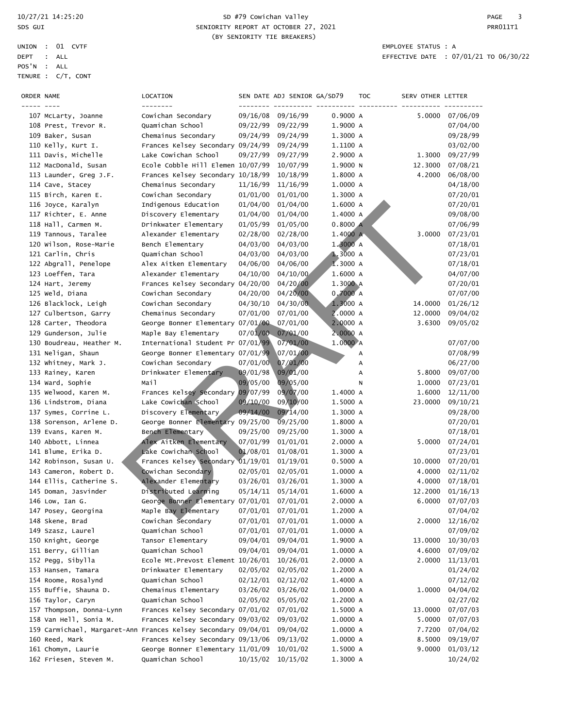#### 10/27/21 14:25:20 SD #79 Cowichan Valley PAGE 3 SPS GUI SENIORITY REPORT AT OCTOBER 27, 2021 CHANGE AND REPORT AT OCTOBER 27, 2021 (BY SENIORITY TIE BREAKERS)

| ORDER NAME |                          | LOCATION<br>--------                                           |          | SEN DATE ADJ SENIOR GA/SD79 |          | <b>TOC</b> | SERV OTHER LETTER |                 |
|------------|--------------------------|----------------------------------------------------------------|----------|-----------------------------|----------|------------|-------------------|-----------------|
|            | 107 McLarty, Joanne      | Cowichan Secondary                                             | 09/16/08 | 09/16/99                    | 0.9000 A |            | 5.0000            | 07/06/09        |
|            | 108 Prest, Trevor R.     | Quamichan School                                               | 09/22/99 | 09/22/99                    | 1.9000 A |            |                   | 07/04/00        |
|            | 109 Baker, Susan         | Chemainus Secondary                                            | 09/24/99 | 09/24/99                    | 1.3000 A |            |                   | 09/28/99        |
|            | 110 Kelly, Kurt I.       | Frances Kelsey Secondary 09/24/99                              |          | 09/24/99                    | 1.1100 A |            |                   | 03/02/00        |
|            | 111 Davis, Michelle      | Lake Cowichan School                                           | 09/27/99 | 09/27/99                    | 2.9000 A |            | 1.3000            | 09/27/99        |
|            | 112 MacDonald, Susan     | Ecole Cobble Hill Elemen 10/07/99                              |          | 10/07/99                    | 1.9000 N |            | 12.3000           | 07/08/21        |
|            | 113 Launder, Greg J.F.   | Frances Kelsey Secondary 10/18/99                              |          | 10/18/99                    | 1.8000 A |            | 4.2000            | 06/08/00        |
|            | 114 Cave, Stacey         | Chemainus Secondary                                            | 11/16/99 | 11/16/99                    | 1.0000 A |            |                   | 04/18/00        |
|            | 115 Birch, Karen E.      | Cowichan Secondary                                             | 01/01/00 | 01/01/00                    | 1.3000 A |            |                   | 07/20/01        |
|            | 116 Joyce, Karalyn       | Indigenous Education                                           | 01/04/00 | 01/04/00                    | 1.6000 A |            |                   | 07/20/01        |
|            | 117 Richter, E. Anne     | Discovery Elementary                                           | 01/04/00 | 01/04/00                    | 1.4000 A |            |                   | 09/08/00        |
|            | 118 Hall, Carmen M.      | Drinkwater Elementary                                          | 01/05/99 | 01/05/00                    | 0.8000A  |            |                   | 07/06/99        |
|            | 119 Tannous, Taralee     | Alexander Elementary                                           | 02/28/00 | 02/28/00                    | 1.4000 A |            | 3.0000            | 07/23/01        |
|            | 120 Wilson, Rose-Marie   | Bench Elementary                                               | 04/03/00 | 04/03/00                    | 1.3000 A |            |                   | 07/18/01        |
|            | 121 Carlin, Chris        | Quamichan School                                               | 04/03/00 | 04/03/00                    | 1.3000A  |            |                   | 07/23/01        |
|            | 122 Abgrall, Penelope    | Alex Aitken Elementary                                         | 04/06/00 | 04/06/00                    | 1.3000 A |            |                   | 07/18/01        |
|            | 123 Loeffen, Tara        | Alexander Elementary                                           | 04/10/00 | 04/10/00                    | 1.6000 A |            |                   | 04/07/00        |
|            | 124 Hart, Jeremy         | Frances Kelsey Secondary 04/20/00                              |          | 04/20/00                    | 1.3000 A |            |                   | 07/20/01        |
|            | 125 Weld, Diana          | Cowichan Secondary                                             | 04/20/00 | 04/20/00                    | 0,7000A  |            |                   | 07/07/00        |
|            | 126 Blacklock, Leigh     | Cowichan Secondary                                             | 04/30/10 | 04/30/00                    | 1.3000 A |            | 14.0000           | 01/26/12        |
|            | 127 Culbertson, Garry    | Chemainus Secondary                                            | 07/01/00 | 07/01/00                    | 2.0000 A |            | 12.0000           | 09/04/02        |
|            | 128 Carter, Theodora     | George Bonner Elementary 07/01/00                              |          | 07/01/00                    | 2.0000 A |            | 3.6300            | 09/05/02        |
|            | 129 Gunderson, Julie     | Maple Bay Elementary                                           | 07/01/00 | 07/01/00                    | 2.0000 A |            |                   |                 |
|            | 130 Boudreau, Heather M. | International Student Pr 07/01/99                              |          | 07/01/00                    | 1.0000 A |            |                   | 07/07/00        |
|            | 131 Neligan, Shaun       | George Bonner Elementary 07/01/99                              |          | 07/01/00                    |          | А          |                   | 07/08/99        |
|            | 132 Whitney, Mark J.     | Cowichan Secondary                                             | 07/01/00 | 07/01/00                    |          | А          |                   | 06/27/00        |
|            | 133 Rainey, Karen        | Drinkwater Elementary                                          | 09/01/98 | 09/01/00                    |          | А          | 5.8000            | 09/07/00        |
|            | 134 Ward, Sophie         | Mail                                                           | 09/05/00 | 09/05/00                    |          | N          | 1.0000            | 07/23/01        |
|            | 135 Welwood, Karen M.    | Frances Kelsey Secondary 09/07/99                              |          | 09/07/00                    | 1.4000 A |            | 1.6000            | 12/11/00        |
|            | 136 Lindstrom, Diana     | Lake Cowichan School                                           | 09/10/00 | 09/10/00                    | 1.5000 A |            | 23.0000           | 09/10/21        |
|            | 137 Symes, Corrine L.    | Discovery Elementary                                           | 09/14/00 | 09/14/00                    | 1.3000 A |            |                   | 09/28/00        |
|            | 138 Sorenson, Arlene D.  | George Bonner Elementary 09/25/00                              |          | 09/25/00                    | 1.8000 A |            |                   | 07/20/01        |
|            | 139 Evans, Karen M.      | Bench Elementary                                               | 09/25/00 | 09/25/00                    | 1.3000 A |            |                   | 07/18/01        |
|            | 140 Abbott, Linnea       | Alex Aitken Elementary                                         | 07/01/99 | 01/01/01                    | 2.0000 A |            | 5.0000            | 07/24/01        |
|            | 141 Blume, Erika D.      | Lake Cowichan School                                           | 01/08/01 | 01/08/01                    | 1.3000 A |            |                   | 07/23/01        |
|            | 142 Robinson, Susan U.   | Frances Kelsey Secondary 01/19/01                              |          | 01/19/01                    | 0.5000 A |            | 10.0000           | 07/20/01        |
|            | 143 Cameron, Robert D.   | Cowichan Secondary                                             | 02/05/01 | 02/05/01                    | 1.0000 A |            | 4.0000            | 02/11/02        |
|            | 144 Ellis, Catherine S.  | Alexander Elementary                                           | 03/26/01 | 03/26/01                    | 1.3000 A |            | 4.0000            | 07/18/01        |
|            | 145 Doman, Jasvinder     | Distributed Learning                                           | 05/14/11 | 05/14/01                    | 1.6000 A |            | 12.2000           | 01/16/13        |
|            | 146 Low, Ian G.          | George Bonner Elementary 07/01/01                              |          | 07/01/01                    | 2.0000 A |            | 6.0000            | 07/07/03        |
|            | 147 Posey, Georgina      | Maple Bay Elementary                                           |          | 07/01/01 07/01/01           | 1.2000 A |            |                   | 07/04/02        |
|            | 148 Skene, Brad          | Cowichan Secondary                                             |          | 07/01/01 07/01/01           | 1.0000 A |            |                   | 2.0000 12/16/02 |
|            | 149 Szasz, Laurel        | Quamichan School                                               |          | 07/01/01 07/01/01           | 1.0000 A |            |                   | 07/09/02        |
|            | 150 Knight, George       | Tansor Elementary                                              | 09/04/01 | 09/04/01                    | 1.9000 A |            | 13.0000           | 10/30/03        |
|            | 151 Berry, Gillian       | Quamichan School                                               | 09/04/01 | 09/04/01                    | 1.0000 A |            | 4.6000            | 07/09/02        |
|            | 152 Pegg, Sibylla        | Ecole Mt.Prevost Element 10/26/01                              |          | 10/26/01                    | 2.0000 A |            | 2.0000            | 11/13/01        |
|            | 153 Hansen, Tamara       | Drinkwater Elementary                                          | 02/05/02 | 02/05/02                    | 1.2000 A |            |                   | 01/24/02        |
|            | 154 Roome, Rosalynd      | Quamichan School                                               | 02/12/01 | 02/12/02                    | 1.4000 A |            |                   | 07/12/02        |
|            | 155 Buffie, Shauna D.    | Chemainus Elementary                                           | 03/26/02 | 03/26/02                    | 1.0000 A |            | 1.0000            | 04/04/02        |
|            | 156 Taylor, Caryn        | Quamichan School                                               | 02/05/02 | 05/05/02                    | 1.2000 A |            |                   | 02/27/02        |
|            | 157 Thompson, Donna-Lynn | Frances Kelsey Secondary 07/01/02                              |          | 07/01/02                    | 1.5000 A |            | 13.0000           | 07/07/03        |
|            | 158 Van Hell, Sonia M.   | Frances Kelsey Secondary 09/03/02                              |          | 09/03/02                    | 1.0000 A |            | 5.0000            | 07/07/03        |
|            |                          | 159 Carmichael, Margaret-Ann Frances Kelsey Secondary 09/04/01 |          | 09/04/02                    | 1.0000 A |            | 7.7200            | 07/04/02        |
|            | 160 Reed, Mark           | Frances Kelsey Secondary 09/13/06                              |          | 09/13/02                    | 1.0000 A |            | 8.5000            | 09/19/07        |
|            | 161 Chomyn, Laurie       | George Bonner Elementary 11/01/09                              |          | 10/01/02                    | 1.5000 A |            | 9.0000            | 01/03/12        |
|            | 162 Friesen, Steven M.   | Quamichan School                                               | 10/15/02 | 10/15/02                    | 1.3000 A |            |                   | 10/24/02        |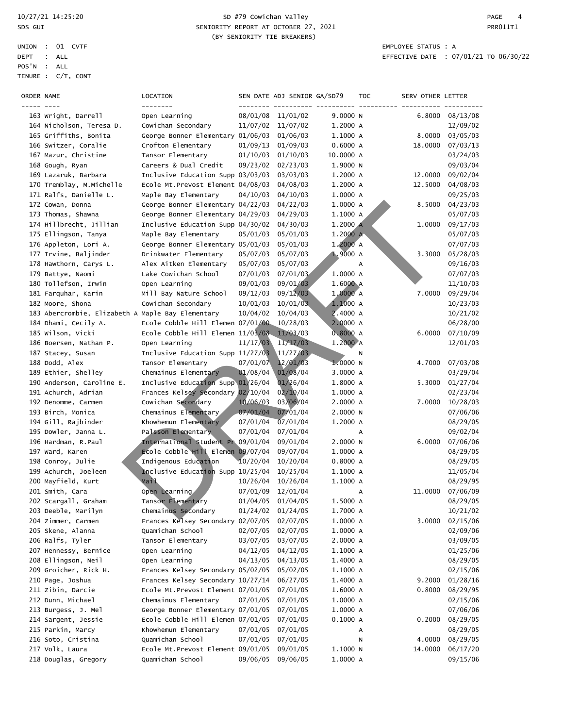#### 10/27/21 14:25:20 SD #79 Cowichan Valley PAGE 4 SDS GUI SENIORITY REPORT AT OCTOBER 27, 2021 CHARGES AND REPORT AT OCTOBER 27, 2021 (BY SENIORITY TIE BREAKERS)

| ORDER NAME |                                                   | LOCATION<br>--------                       |          | SEN DATE ADJ SENIOR GA/SD79 |           | <b>TOC</b> | SERV OTHER LETTER |          |
|------------|---------------------------------------------------|--------------------------------------------|----------|-----------------------------|-----------|------------|-------------------|----------|
|            | 163 Wright, Darrell                               | Open Learning                              |          | 08/01/08 11/01/02           | 9.0000 N  |            | 6.8000            | 08/13/08 |
|            | 164 Nicholson, Teresa D.                          | Cowichan Secondary                         | 11/07/02 | 11/07/02                    | 1.2000 A  |            |                   | 12/09/02 |
|            | 165 Griffiths, Bonita                             | George Bonner Elementary 01/06/03          |          | 01/06/03                    | 1.1000 A  |            | 8.0000            | 03/05/03 |
|            | 166 Switzer, Coralie                              | Crofton Elementary                         | 01/09/13 | 01/09/03                    | 0.6000A   |            | 18,0000           | 07/03/13 |
|            | 167 Mazur, Christine                              | Tansor Elementary                          | 01/10/03 | 01/10/03                    | 10.0000 A |            |                   | 03/24/03 |
|            | 168 Gough, Ryan                                   | Careers & Dual Credit                      | 09/23/02 | 02/23/03                    | 1.9000 N  |            |                   | 09/03/04 |
|            | 169 Lazaruk, Barbara                              | Inclusive Education Supp 03/03/03          |          | 03/03/03                    | 1.2000 A  |            | 12.0000           | 09/02/04 |
|            | 170 Tremblay, M.Michelle                          | Ecole Mt. Prevost Element 04/08/03         |          | 04/08/03                    | 1.2000 A  |            | 12.5000           | 04/08/03 |
|            | 171 Ralfs, Danielle L.                            | Maple Bay Elementary                       | 04/10/03 | 04/10/03                    | 1.0000 A  |            |                   | 09/25/03 |
|            | 172 Cowan, Donna                                  | George Bonner Elementary 04/22/03          |          | 04/22/03                    | 1.0000 A  |            | 8.5000            | 04/23/03 |
|            | 173 Thomas, Shawna                                | George Bonner Elementary 04/29/03          |          | 04/29/03                    | 1.1000 A  |            |                   | 05/07/03 |
|            | 174 Hillbrecht, Jillian                           | Inclusive Education Supp 04/30/02          |          | 04/30/03                    | 1.2000 A  |            | 1.0000            | 09/17/03 |
|            | 175 Ellingson, Tanya                              | Maple Bay Elementary                       | 05/01/03 | 05/01/03                    | 1.2000 A  |            |                   | 05/07/03 |
|            | 176 Appleton, Lori A.                             | George Bonner Elementary 05/01/03          |          | 05/01/03                    | 1.2000 A  |            |                   | 07/07/03 |
|            | 177 Irvine, Baljinder                             | Drinkwater Elementary                      | 05/07/03 | 05/07/03                    | 1.9000A   |            | 3.3000            | 05/28/03 |
|            | 178 Hawthorn, Carys L.                            | Alex Aitken Elementary                     | 05/07/03 | 05/07/03                    |           | Α          |                   | 09/16/03 |
|            | 179 Battye, Naomi                                 | Lake Cowichan School                       | 07/01/03 | 07/01/03                    | 1.0000 A  |            |                   | 07/07/03 |
|            | 180 Tollefson, Irwin                              | Open Learning                              | 09/01/03 | 09/01/03                    | 1.6000 A  |            |                   | 11/10/03 |
|            | 181 Farquhar, Karin                               | Mill Bay Nature School                     | 09/12/03 | 09/12/03                    | 1.0000 A  |            | 7.0000            | 09/29/04 |
|            | 182 Moore, Shona                                  | Cowichan Secondary                         | 10/01/03 | 10/01/03                    | 1.1000 A  |            |                   | 10/23/03 |
|            | 183 Abercrombie, Elizabeth A Maple Bay Elementary |                                            | 10/04/02 | 10/04/03                    | 2.4000 A  |            |                   | 10/21/02 |
|            | 184 Dhami, Cecily A.                              | Ecole Cobble Hill Elemen 07/01/00          |          | 10/28/03                    | 2.0000 A  |            |                   | 06/28/00 |
|            | 185 Wilson, Vicki                                 | Ecole Cobble Hill Elemen 11/03/08 11/03/03 |          |                             | 0.8000A   |            | 6.0000            | 07/10/09 |
|            | 186 Boersen, Nathan P.                            | Open Learning                              | 11/17/03 | 11/17/03                    | 1.2000 A  |            |                   | 12/01/03 |
|            | 187 Stacey, Susan                                 | Inclusive Education Supp 11/27/03          |          | 11/27/03                    |           | Ν          |                   |          |
|            | 188 Dodd, Alex                                    | Tansor Elementary                          | 07/01/07 | 12/01/03                    | 1.0000N   |            | 4.7000            | 07/03/08 |
|            | 189 Ethier, Shelley                               | Chemainus Elementary                       | 01/08/04 | 01/08/04                    | 3.0000 A  |            |                   | 03/29/04 |
|            | 190 Anderson, Caroline E.                         | Inclusive Education Supp 01/26/04          |          | 01/26/04                    | 1.8000 A  |            | 5.3000            | 01/27/04 |
|            | 191 Achurch, Adrian                               | Frances Kelsey Secondary 02/10/04          |          | 02/10/04                    | 1.0000 A  |            |                   | 02/23/04 |
|            | 192 Denomme, Carmen                               | Cowichan Secondary                         | 10/06/03 | 03/06/04                    | 2.0000 A  |            | 7.0000            | 10/28/03 |
|            | 193 Birch, Monica                                 | Chemainus Elementary                       | 07/01/04 | 07/01/04                    | 2.0000 N  |            |                   | 07/06/06 |
|            | 194 Gill, Rajbinder                               | Khowhemun Elementary                       | 07/01/04 | 07/01/04                    | 1.2000 A  |            |                   | 08/29/05 |
|            | 195 Dowler, Janna L.                              | Palsson Elementary                         | 07/01/04 | 07/01/04                    |           | А          |                   | 09/02/04 |
|            | 196 Hardman, R.Paul                               | International Student Pr 09/01/04          |          | 09/01/04                    | 2.0000 N  |            | 6.0000            | 07/06/06 |
|            | 197 Ward, Karen                                   | Ecole Cobble Hill Elemen 09/07/04          |          | 09/07/04                    | 1.0000 A  |            |                   | 08/29/05 |
|            | 198 Conroy, Julie                                 | Indigenous Education                       | 10/20/04 | 10/20/04                    | 0.8000 A  |            |                   | 08/29/05 |
|            | 199 Achurch, Joeleen                              | Inclusive Education Supp 10/25/04          |          | 10/25/04                    | 1.1000 A  |            |                   | 11/05/04 |
|            | 200 Mayfield, Kurt                                | Mail                                       | 10/26/04 | 10/26/04                    | 1.1000 A  |            |                   | 08/29/95 |
|            | 201 Smith, Cara                                   | Open Learning                              | 07/01/09 | 12/01/04                    |           | A          | 11.0000           | 07/06/09 |
|            | 202 Scargall, Graham                              | Tansor Elementary                          | 01/04/05 | 01/04/05                    | 1.5000 A  |            |                   | 08/29/05 |
|            | 203 Deeble, Marilyn                               | Chemainus Secondary                        |          | 01/24/02 01/24/05           | 1.7000 A  |            |                   | 10/21/02 |
|            | 204 Zimmer, Carmen                                | Frances Kelsey Secondary 02/07/05          |          | 02/07/05                    | 1.0000 A  |            | 3.0000            | 02/15/06 |
|            | 205 Skene, Alanna                                 | Quamichan School                           | 02/07/05 | 02/07/05                    | 1.0000 A  |            |                   | 02/09/06 |
|            | 206 Ralfs, Tyler                                  | Tansor Elementary                          | 03/07/05 | 03/07/05                    | 2.0000 A  |            |                   | 03/09/05 |
|            | 207 Hennessy, Bernice                             | Open Learning                              | 04/12/05 | 04/12/05                    | 1.1000 A  |            |                   | 01/25/06 |
|            | 208 Ellingson, Neil                               | Open Learning                              | 04/13/05 | 04/13/05                    | 1.4000 A  |            |                   | 08/29/05 |
|            | 209 Groicher, Rick H.                             | Frances Kelsey Secondary 05/02/05          |          | 05/02/05                    | 1.1000 A  |            |                   | 02/15/06 |
|            | 210 Page, Joshua                                  | Frances Kelsey Secondary 10/27/14          |          | 06/27/05                    | 1.4000 A  |            | 9.2000            | 01/28/16 |
|            | 211 Zibin, Darcie                                 | Ecole Mt. Prevost Element 07/01/05         |          | 07/01/05                    | 1.6000 A  |            | 0.8000            | 08/29/95 |
|            | 212 Dunn, Michael                                 | Chemainus Elementary                       | 07/01/05 | 07/01/05                    | 1.0000 A  |            |                   | 02/15/06 |
|            | 213 Burgess, J. Mel                               | George Bonner Elementary 07/01/05          |          | 07/01/05                    | 1.0000 A  |            |                   | 07/06/06 |
|            | 214 Sargent, Jessie                               | Ecole Cobble Hill Elemen 07/01/05          |          | 07/01/05                    | 0.1000A   |            | 0.2000            | 08/29/05 |
|            | 215 Parkin, Marcy                                 | Khowhemun Elementary                       | 07/01/05 | 07/01/05                    |           | А          |                   | 08/29/05 |
|            | 216 Soto, Cristina                                | Quamichan School                           | 07/01/05 | 07/01/05                    |           | N          | 4.0000            | 08/29/05 |
|            | 217 Volk, Laura                                   | Ecole Mt. Prevost Element 09/01/05         |          | 09/01/05                    | 1.1000 N  |            | 14.0000           | 06/17/20 |
|            | 218 Douglas, Gregory                              | Quamichan School                           | 09/06/05 | 09/06/05                    | 1.0000 A  |            |                   | 09/15/06 |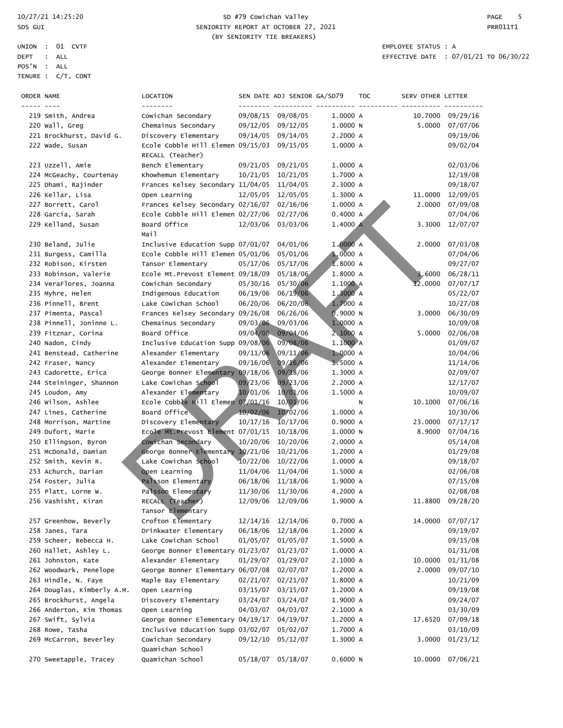|             | UNION : 01 CVTF    | EMPLOYEE STATUS : A |  |
|-------------|--------------------|---------------------|--|
| DEPT : ALL  |                    | EFFECTIVE DATE : 07 |  |
| POS'N : ALL |                    |                     |  |
|             | TENURE : C/T, CONT |                     |  |

### 10/27/21 14:25:20 SD #79 Cowichan Valley PAGE 5 SPS GUI SENIORITY REPORT AT OCTOBER 27, 2021 CHARGES AND RESIDENT AT A SENIORITY REPORT AT OCTOBER 27, 2021 (BY SENIORITY TIE BREAKERS)

| ORDER NAME |                            | LOCATION                           |          | SEN DATE ADJ SENIOR GA/SD79 |          | TOC | SERV OTHER LETTER |          |
|------------|----------------------------|------------------------------------|----------|-----------------------------|----------|-----|-------------------|----------|
|            |                            | --------                           |          |                             |          |     |                   |          |
|            | 219 Smith, Andrea          | Cowichan Secondary                 |          | 09/08/15 09/08/05           | 1.0000 A |     | 10.7000           | 09/29/16 |
|            | 220 Wall, Greg             | Chemainus Secondary                | 09/12/05 | 09/12/05                    | 1.0000 N |     | 5.0000            | 07/07/06 |
|            | 221 Brockhurst, David G.   | Discovery Elementary               | 09/14/05 | 09/14/05                    | 2.2000 A |     |                   | 09/19/06 |
|            | 222 Wade, Susan            | Ecole Cobble Hill Elemen 09/15/03  |          | 09/15/05                    | 1.0000 A |     |                   | 09/02/04 |
|            |                            | RECALL (Teacher)                   |          |                             |          |     |                   |          |
|            | 223 Uzzell, Amie           | Bench Elementary                   | 09/21/05 | 09/21/05                    | 1.0000 A |     |                   | 02/03/06 |
|            | 224 McGeachy, Courtenay    | Khowhemun Elementary               | 10/21/05 | 10/21/05                    | 1.7000 A |     |                   | 12/19/08 |
|            | 225 Dhami, Rajinder        | Frances Kelsey Secondary 11/04/05  |          | 11/04/05                    | 2.3000 A |     |                   | 09/18/07 |
|            | 226 Kellar, Lisa           | Open Learning                      | 12/05/05 | 12/05/05                    | 1.3000 A |     | 11.0000           | 12/09/05 |
|            | 227 Borrett, Carol         | Frances Kelsey Secondary 02/16/07  |          | 02/16/06                    | 1.0000 A |     | 2.0000            | 07/09/08 |
|            | 228 Garcia, Sarah          | Ecole Cobble Hill Elemen 02/27/06  |          | 02/27/06                    | 0.4000A  |     |                   | 07/04/06 |
|            | 229 Kelland, Susan         | Board Office                       | 12/03/06 | 03/03/06                    | 1.4000 A |     | 3.3000            | 12/07/07 |
|            |                            | Mail                               |          |                             |          |     |                   |          |
|            | 230 Beland, Julie          | Inclusive Education Supp 07/01/07  |          | 04/01/06                    | 1.0000 A |     | 2.0000            | 07/03/08 |
|            | 231 Burgess, Camilla       | Ecole Cobble Hill Elemen 05/01/06  |          | 05/01/06                    | 1.0000A  |     |                   | 07/04/06 |
|            | 232 Robison, Kirsten       | Tansor Elementary                  | 05/17/06 | 05/17/06                    | 1.8000 A |     |                   | 09/27/07 |
|            | 233 Robinson, Valerie      | Ecole Mt. Prevost Element 09/18/09 |          | 05/18/06                    | 1.8000 A |     | 3.6000            | 06/28/11 |
|            | 234 VeraFlores, Joanna     | Cowichan Secondary                 | 05/30/16 | 05/30/06                    | 1.1000 A |     | 12.0000           | 07/07/17 |
|            | 235 Myhre, Helen           | Indigenous Education               | 06/19/06 | 06/19/06                    | 1,3000 A |     |                   | 05/22/07 |
|            | 236 Pinnell, Brent         | Lake Cowichan School               | 06/20/06 | 06/20/06                    | 1.7000 A |     |                   | 10/27/08 |
|            | 237 Pimenta, Pascal        | Frances Kelsey Secondary 09/26/08  |          | 06/26/06                    | 0.9000 N |     | 3.0000            | 06/30/09 |
|            | 238 Pinnell, Joninne L.    | Chemainus Secondary                | 09/03/06 | 09/03/06                    | 1.0000 A |     |                   | 10/09/08 |
|            | 239 Fitznar, Corina        | Board Office                       | 09/04/06 | 09/04/06                    | 2.1000 A |     | 5.0000            | 02/06/08 |
|            |                            |                                    |          |                             |          |     |                   |          |
|            | 240 Nadon, Cindy           | Inclusive Education Supp 09/08/06  |          | 09/08/06                    | 1.1000 A |     |                   | 01/09/07 |
|            | 241 Benstead, Catherine    | Alexander Elementary               | 09/11/06 | 09/11/06                    | 1.0000 A |     |                   | 10/04/06 |
|            | 242 Fraser, Nancy          | Alexander Elementary               | 09/16/06 | 09/16/06                    | 1.5000A  |     |                   | 11/14/06 |
|            | 243 Cadorette, Erica       | George Bonner Elementary 09/18/06  |          | 09/18/06                    | 1.3000 A |     |                   | 02/09/07 |
|            | 244 Steininger, Shannon    | Lake Cowichan School               | 09/23/06 | 09/23/06                    | 2.2000 A |     |                   | 12/17/07 |
|            | 245 Loudon, Amy            | Alexander Elementary               | 10/01/06 | 10/01/06                    | 1.5000 A |     |                   | 10/09/07 |
|            | 246 Wilson, Ashlee         | Ecole Cobble Hill Elemen 07/01/16  |          | 10/01/06                    |          | N   | 10.1000           | 07/06/16 |
|            | 247 Lines, Catherine       | Board Office                       | 10/02/06 | 10/02/06                    | 1.0000 A |     |                   | 10/30/06 |
|            | 248 Morrison, Martine      | Discovery Elementary               | 10/17/16 | 10/17/06                    | 0.9000A  |     | 23.0000           | 07/17/17 |
|            | 249 Dufort, Marie          | Ecole Mt. Prevost Element 07/01/15 |          | 10/18/06                    | 1.0000 N |     | 8.9000            | 07/04/16 |
|            | 250 Ellingson, Byron       | Cowichan Secondary                 | 10/20/06 | 10/20/06                    | 2.0000 A |     |                   | 05/14/08 |
|            | 251 McDonald, Damian       | George Bonner Elementary 10/21/06  |          | 10/21/06                    | 1.2000 A |     |                   | 01/29/08 |
|            | 252 Smith, Kevin R.        | Lake Cowichan School               | 10/22/06 | 10/22/06                    | 1.0000 A |     |                   | 09/18/07 |
|            | 253 Achurch, Darian        | Open Learning                      | 11/04/06 | 11/04/06                    | 1.5000 A |     |                   | 02/06/08 |
|            | 254 Foster, Julia          | Palsson Elementary                 | 06/18/06 | 11/18/06                    | 1.9000 A |     |                   | 07/15/08 |
|            | 255 Platt, Lorne W.        | Palsson Elementary                 | 11/30/06 | 11/30/06                    | 4.2000 A |     |                   | 02/08/08 |
|            | 256 Vashisht, Kiran        | RECALL (Teacher)                   | 12/09/06 | 12/09/06                    | 1.9000 A |     | 11.8800           | 09/28/20 |
|            |                            | Tansor Elementary                  |          |                             |          |     |                   |          |
|            | 257 Greenhow, Beverly      | Crofton Elementary                 | 12/14/16 | 12/14/06                    | 0.7000 A |     | 14.0000           | 07/07/17 |
|            | 258 Janes, Tara            | Drinkwater Elementary              | 06/18/06 | 12/18/06                    | 1.2000 A |     |                   | 09/19/07 |
|            | 259 Scheer, Rebecca H.     | Lake Cowichan School               | 01/05/07 | 01/05/07                    | 1.5000 A |     |                   | 09/15/08 |
|            | 260 Hallet, Ashley L.      | George Bonner Elementary 01/23/07  |          | 01/23/07                    | 1.0000 A |     |                   | 01/31/08 |
|            | 261 Johnston, Kate         | Alexander Elementary               | 01/29/07 | 01/29/07                    | 2.1000 A |     | 10.0000           | 01/31/08 |
|            | 262 Woodwark, Penelope     | George Bonner Elementary 06/07/08  |          | 02/07/07                    | 1.2000 A |     | 2.0000            | 09/07/10 |
|            | 263 Hindle, N. Faye        | Maple Bay Elementary               | 02/21/07 | 02/21/07                    | 1.8000 A |     |                   | 10/21/09 |
|            | 264 Douglas, Kimberly A.M. | Open Learning                      | 03/15/07 | 03/15/07                    | 1.2000 A |     |                   | 09/19/08 |
|            | 265 Brockhurst, Angela     | Discovery Elementary               | 03/24/07 | 03/24/07                    | 1.9000 A |     |                   | 09/24/07 |
|            | 266 Anderton, Kim Thomas   | Open Learning                      | 04/03/07 | 04/03/07                    | 2.1000 A |     |                   | 03/30/09 |
|            | 267 Swift, Sylvia          | George Bonner Elementary 04/19/17  |          | 04/19/07                    | 1.2000 A |     | 17.6520           | 07/09/18 |
|            | 268 Rowe, Tasha            | Inclusive Education Supp 03/02/07  |          | 05/02/07                    | 1.7000 A |     |                   | 03/10/09 |
|            | 269 McCarron, Beverley     | Cowichan Secondary                 | 09/12/10 | 05/12/07                    | 1.3000 A |     | 3.0000            | 01/23/12 |
|            |                            | Quamichan School                   |          |                             |          |     |                   |          |
|            | 270 Sweetapple, Tracey     | Quamichan School                   | 05/18/07 | 05/18/07                    | 0.6000 N |     | 10.0000           | 07/06/21 |
|            |                            |                                    |          |                             |          |     |                   |          |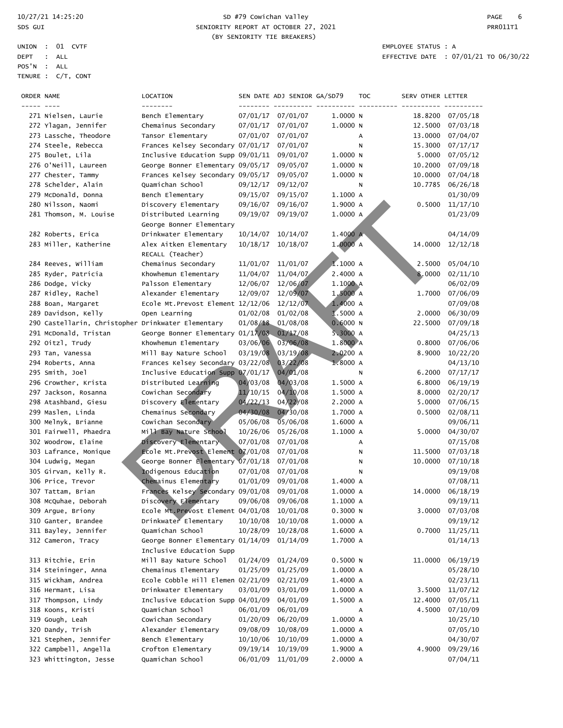### 10/27/21 14:25:20 SD #79 Cowichan Valley PAGE 6 SPS GUI SENIORITY REPORT AT OCTOBER 27, 2021 (BY SENIORITY TIE BREAKERS)

| ORDER NAME |                                                    | LOCATION                                                      |                      | SEN DATE ADJ SENIOR GA/SD79 |          | <b>TOC</b> | SERV OTHER LETTER  |                      |
|------------|----------------------------------------------------|---------------------------------------------------------------|----------------------|-----------------------------|----------|------------|--------------------|----------------------|
|            |                                                    | --------                                                      |                      |                             |          |            |                    |                      |
|            | 271 Nielsen, Laurie                                | Bench Elementary                                              |                      | 07/01/17 07/01/07           | 1.0000N  |            | 18.8200            | 07/05/18             |
|            | 272 Ylagan, Jennifer<br>273 Lassche, Theodore      | Chemainus Secondary<br>Tansor Elementary                      | 07/01/17<br>07/01/07 | 07/01/07<br>07/01/07        | 1.0000 N | А          | 12.5000<br>13.0000 | 07/03/18             |
|            | 274 Steele, Rebecca                                | Frances Kelsey Secondary 07/01/17                             |                      | 07/01/07                    |          | N          | 15.3000            | 07/04/07<br>07/17/17 |
|            | 275 Boulet, Lila                                   | Inclusive Education Supp 09/01/11                             |                      | 09/01/07                    | 1.0000N  |            | 5.0000             | 07/05/12             |
|            | 276 O'Neill, Laureen                               | George Bonner Elementary 09/05/17                             |                      | 09/05/07                    | 1.0000N  |            | 10.2000            | 07/09/18             |
|            | 277 Chester, Tammy                                 | Frances Kelsey Secondary 09/05/17                             |                      | 09/05/07                    | 1.0000 N |            | 10.0000            | 07/04/18             |
|            | 278 Schelder, Alain                                | Quamichan School                                              | 09/12/17             | 09/12/07                    |          | N          | 10.7785            | 06/26/18             |
|            | 279 McDonald, Donna                                | Bench Elementary                                              | 09/15/07             | 09/15/07                    | 1.1000 A |            |                    | 01/30/09             |
|            | 280 Nilsson, Naomi                                 | Discovery Elementary                                          | 09/16/07             | 09/16/07                    | 1.9000 A |            | 0.5000             | 11/17/10             |
|            | 281 Thomson, M. Louise                             | Distributed Learning                                          | 09/19/07             | 09/19/07                    | 1.0000 A |            |                    | 01/23/09             |
|            |                                                    | George Bonner Elementary                                      |                      |                             |          |            |                    |                      |
|            | 282 Roberts, Erica                                 | Drinkwater Elementary                                         | 10/14/07             | 10/14/07                    | 1.4000 A |            |                    | 04/14/09             |
|            | 283 Miller, Katherine                              | Alex Aitken Elementary                                        | 10/18/17             | 10/18/07                    | 1.0000 A |            | 14.0000            | 12/12/18             |
|            |                                                    | RECALL (Teacher)                                              |                      |                             |          |            |                    |                      |
|            | 284 Reeves, William                                | Chemainus Secondary                                           | 11/01/07             | 11/01/07                    | 1.1000A  |            | 2.5000             | 05/04/10             |
|            | 285 Ryder, Patricia                                | Khowhemun Elementary                                          | 11/04/07             | 11/04/07                    | 2.4000 A |            | 8.0000             | 02/11/10             |
|            | 286 Dodge, Vicky                                   | Palsson Elementary                                            | 12/06/07             | 12/06/07                    | 1.1000 A |            |                    | 06/02/09             |
|            | 287 Ridley, Rachel                                 | Alexander Elementary                                          | 12/09/07             | 12/09/07                    | 1,5000 A |            | 1.7000             | 07/06/09             |
|            | 288 Boan, Margaret                                 | Ecole Mt.Prevost Element 12/12/06                             |                      | 12/12/07                    | 1.4000 A |            |                    | 07/09/08             |
|            | 289 Davidson, Kelly                                | Open Learning                                                 | 01/02/08             | 01/02/08                    | 1.5000 A |            | 2.0000             | 06/30/09             |
|            | 290 Castellarin, Christopher Drinkwater Elementary |                                                               | 01/08/18             | 01/08/08                    | 0.6000 N |            | 22.5000            | 07/09/18             |
|            | 291 McDonald, Tristan                              | George Bonner Elementary 01/17/08                             |                      | 01/17/08                    | 5.3000 A |            |                    | 04/25/13             |
|            | 292 Oitzl, Trudy                                   | Khowhemun Elementary                                          | 03/06/06             | 03/06/08                    | 1.8000 A |            | 0.8000             | 07/06/06             |
|            | 293 Tan, Vanessa                                   | Mill Bay Nature School                                        | 03/19/08             | 03/19/08                    | 2.0200 A |            | 8.9000             | 10/22/20             |
|            | 294 Roberts, Anna                                  | Frances Kelsey Secondary 03/22/08                             |                      | 03/22/08                    | 1.8000A  |            |                    | 04/13/10             |
|            | 295 Smith, Joel                                    | Inclusive Education Supp 07/01/17                             |                      | 04/01/08                    |          | Ν          | 6.2000             | 07/17/17             |
|            | 296 Crowther, Krista                               | Distributed Learning                                          | 04/03/08             | 04/03/08                    | 1.5000 A |            | 6.8000             | 06/19/19             |
|            | 297 Jackson, Rosanna                               | Cowichan Secondary                                            | 11/10/15             | 04/10/08                    | 1.5000 A |            | 8.0000             | 02/20/17             |
|            | 298 Atashband, Giesu                               | Discovery Elementary                                          | 04/22/13             | 04/22/08                    | 2.2000 A |            | 5.0000             | 07/06/15             |
|            | 299 Maslen, Linda                                  | Chemainus Secondary                                           | 04/30/08             | 04/30/08                    | 1.7000 A |            | 0.5000             | 02/08/11             |
|            | 300 Melnyk, Brianne                                | Cowichan Secondary                                            | 05/06/08             | $\sqrt{05/06/08}$           | 1.6000 A |            |                    | 09/06/11             |
|            | 301 Fairwell, Phaedra                              | Mill Bay Nature School                                        | 10/26/06             | 05/26/08                    | 1.1000 A |            | 5.0000             | 04/30/07             |
|            | 302 Woodrow, Elaine                                | Discovery Elementary                                          | 07/01/08             | 07/01/08                    |          | А          |                    | 07/15/08             |
|            | 303 Lafrance, Monique                              | Ecole Mt. Prevost Element 07/01/08                            |                      | 07/01/08                    |          | Ν          | 11.5000            | 07/03/18             |
|            | 304 Ludwig, Megan                                  | George Bonner Elementary 07/01/18                             |                      | 07/01/08                    |          | Ν          | 10.0000            | 07/10/18             |
|            | 305 Girvan, Kelly R.                               | Indigenous Education                                          | 07/01/08             | 07/01/08                    |          | Ν          |                    | 09/19/08             |
|            | 306 Price, Trevor                                  | Chemainus Elementary                                          | 01/01/09             | 09/01/08                    | 1.4000 A |            |                    | 07/08/11             |
|            | 307 Tattam, Brian                                  | Frances Kelsey Secondary 09/01/08                             |                      | 09/01/08                    | 1.0000 A |            | 14.0000            | 06/18/19             |
|            | 308 McQuhae, Deborah                               | Discovery Elementary                                          | 09/06/08             | 09/06/08                    | 1.1000 A |            |                    | 09/19/11             |
|            | 309 Argue, Briony                                  | Ecole Mt. Prevost Element 04/01/08                            |                      | 10/01/08                    | 0.3000N  |            | 3.0000             | 07/03/08             |
|            | 310 Ganter, Brandee                                | Drinkwater Elementary                                         | 10/10/08             | 10/10/08                    | 1.0000 A |            |                    | 09/19/12             |
|            | 311 Bayley, Jennifer                               | Quamichan School                                              | 10/28/09             | 10/28/08                    | 1.6000 A |            | 0.7000             | 11/25/11             |
|            | 312 Cameron, Tracy                                 | George Bonner Elementary 01/14/09<br>Inclusive Education Supp |                      | 01/14/09                    | 1.7000 A |            |                    | 01/14/13             |
|            | 313 Ritchie, Erin                                  | Mill Bay Nature School                                        | 01/24/09             | 01/24/09                    | 0.5000 N |            | 11.0000            | 06/19/19             |
|            | 314 Steininger, Anna                               | Chemainus Elementary                                          | 01/25/09             | 01/25/09                    | 1.0000 A |            |                    | 05/28/10             |
|            | 315 Wickham, Andrea                                | Ecole Cobble Hill Elemen 02/21/09                             |                      | 02/21/09                    | 1.4000 A |            |                    | 02/23/11             |
|            | 316 Hermant, Lisa                                  | Drinkwater Elementary                                         | 03/01/09             | 03/01/09                    | 1.0000 A |            | 3.5000             | 11/07/12             |
|            | 317 Thompson, Lindy                                | Inclusive Education Supp 04/01/09                             |                      | 04/01/09                    | 1.5000 A |            | 12.4000            | 07/05/11             |
|            | 318 Koons, Kristi                                  | Quamichan School                                              | 06/01/09             | 06/01/09                    |          | Α          | 4.5000             | 07/10/09             |
|            | 319 Gough, Leah                                    | Cowichan Secondary                                            | 01/20/09             | 06/20/09                    | 1.0000 A |            |                    | 10/25/10             |
|            | 320 Dandy, Trish                                   | Alexander Elementary                                          | 09/08/09             | 10/08/09                    | 1.0000 A |            |                    | 07/05/10             |
|            | 321 Stephen, Jennifer                              | Bench Elementary                                              | 10/10/06             | 10/10/09                    | 1.0000 A |            |                    | 04/30/07             |
|            | 322 Campbell, Angella                              | Crofton Elementary                                            | 09/19/14             | 10/19/09                    | 1.9000 A |            | 4.9000             | 09/29/16             |
|            | 323 Whittington, Jesse                             | Quamichan School                                              | 06/01/09             | 11/01/09                    | 2.0000 A |            |                    | 07/04/11             |
|            |                                                    |                                                               |                      |                             |          |            |                    |                      |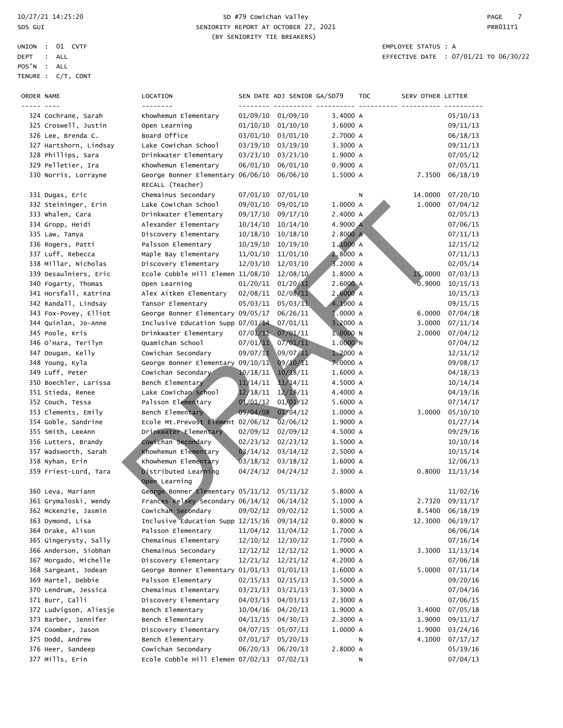|             | UNION : 01 CVTF    | EMPLOYEE STATUS : A |  |
|-------------|--------------------|---------------------|--|
| DEPT : ALL  |                    | EFFECTIVE DATE : 07 |  |
| POS'N : ALL |                    |                     |  |
|             | TENURE : C/T, CONT |                     |  |

#### 10/27/21 14:25:20 SD #79 Cowichan Valley PAGE 7 SPS GUI SENIORITY REPORT AT OCTOBER 27, 2021 CHANGE AND REPORT AT OCTOBER 27, 2021 (BY SENIORITY TIE BREAKERS)

| ORDER NAME |                        | LOCATION<br>--------                       |                      | SEN DATE ADJ SENIOR GA/SD79 |          | <b>TOC</b> | SERV OTHER LETTER |                 |
|------------|------------------------|--------------------------------------------|----------------------|-----------------------------|----------|------------|-------------------|-----------------|
|            | 324 Cochrane, Sarah    | Khowhemun Elementary                       |                      | 01/09/10 01/09/10           | 3.4000 A |            |                   | 05/10/13        |
|            | 325 Croswell, Justin   | Open Learning                              | 01/10/10             | 01/10/10                    | 3.6000 A |            |                   | 09/11/13        |
|            | 326 Lee, Brenda C.     | Board Office                               | 03/01/10             | 03/01/10                    | 2.7000 A |            |                   | 06/18/13        |
|            | 327 Hartshorn, Lindsay | Lake Cowichan School                       | 03/19/10             | 03/19/10                    | 3.3000 A |            |                   | 09/11/13        |
|            | 328 Phillips, Sara     | Drinkwater Elementary                      | 03/23/10             | 03/23/10                    | 1.9000 A |            |                   | 07/05/12        |
|            | 329 Pelletier, Ira     | Khowhemun Elementary                       | 06/01/10             | 06/01/10                    | 0.9000A  |            |                   | 07/05/11        |
|            | 330 Norris, Lorrayne   | George Bonner Elementary 06/06/10          |                      | 06/06/10                    | 1.5000 A |            | 7.3500            | 06/18/19        |
|            |                        | RECALL (Teacher)                           |                      |                             |          |            |                   |                 |
|            | 331 Dugas, Eric        | Chemainus Secondary                        | 07/01/10             | 07/01/10                    |          | N          | 14.0000           | 07/20/10        |
|            | 332 Steininger, Erin   | Lake Cowichan School                       | 09/01/10             | 09/01/10                    | 1.0000 A |            | 1.0000            | 07/04/12        |
|            | 333 Whalen, Cara       | Drinkwater Elementary                      | 09/17/10             | 09/17/10                    | 2.4000 A |            |                   | 02/05/13        |
|            | 334 Gropp, Heidi       | Alexander Elementary                       | 10/14/10             | 10/14/10                    | 4.9000 A |            |                   | 07/06/15        |
|            | 335 Law, Tanya         | Discovery Elementary                       | 10/18/10             | 10/18/10                    | 2.8000 A |            |                   | 07/11/13        |
|            | 336 Rogers, Patti      | Palsson Elementary                         | 10/19/10             | 10/19/10                    | 1.1000A  |            |                   | 12/15/12        |
|            | 337 Luff, Rebecca      | Maple Bay Elementary                       | 11/01/10             | 11/01/10                    | 2.8000 A |            |                   | 07/11/13        |
|            | 338 Millar, Nicholas   | Discovery Elementary                       | 12/03/10             | 12/03/10                    | 3.2000 A |            |                   | 02/05/14        |
|            | 339 Desaulniers, Eric  | Ecole Cobble Hill Elemen 11/08/10          |                      | 12/08/10                    | 1.8000 A |            | 15,0000           | 07/03/13        |
|            | 340 Fogarty, Thomas    | Open Learning                              | 01/20/11             | 01/20/11                    | 2.6000A  |            | 0.9000            | 10/15/13        |
|            | 341 Horsfall, Katrina  | Alex Aitken Elementary                     | 02/08/11             | 02/08/11                    | 2,6000 A |            |                   | 10/15/13        |
|            | 342 Randall, Lindsay   | Tansor Elementary                          | 05/03/11             | 05/03/11                    | 4.1000 A |            |                   | 09/15/15        |
|            | 343 Fox-Povey, Elliot  | George Bonner Elementary 09/05/17          |                      | 06/26/11                    | 1.0000 A |            | 6.0000            | 07/04/18        |
|            | 344 Quinlan, Jo-Anne   | Inclusive Education Supp 07/01/14          |                      | 07/01/11                    | 3.2000 A |            | 3.0000            | 07/11/14        |
|            | 345 Poole, Kris        | Drinkwater Elementary                      | 07/01/11             | 07/01/11                    | 1.0000N  |            | 2.0000            | 07/04/12        |
|            | 346 O'Hara, Terilyn    | Quamichan School                           | 07/01/11             | 07/01/11                    | 1.0000N  |            |                   | 07/04/12        |
|            | 347 Dougan, Kelly      | Cowichan Secondary                         | 09/07/11             | 09/07/11                    | 1.2000 A |            |                   | 12/11/12        |
|            | 348 Young, Kyla        | George Bonner Elementary 09/10/11          |                      | 09/10/11                    | 7.0000 A |            |                   | 09/08/17        |
|            | 349 Luff, Peter        | Cowichan Secondary                         | 10/18/11             | 10/18/11                    | 1.6000 A |            |                   | 04/18/13        |
|            | 350 Boechler, Larissa  | Bench Elementary                           | 11/14/11             | 11/14/11                    | 4.5000 A |            |                   | 10/14/14        |
|            | 351 Stieda, Renee      | Lake Cowichan School                       | 12/18/11             | 12/18/11                    | 4.4000 A |            |                   | 04/19/16        |
|            | 352 Couch, Tessa       | Palsson Elementary                         | 01/01/12             | 01/01/12                    | 5.6000 A |            |                   | 07/14/17        |
|            | 353 Clements, Emily    | Bench Elementary                           | 05/04/08             | 01/04/12                    | 1.0000 A |            | 3.0000            | 05/10/10        |
|            | 354 Goble, Sandrine    | Ecole Mt. Prevost Element 02/06/12         |                      | $\sqrt{02}/06/12$           | 1.9000 A |            |                   | 01/27/14        |
|            | 355 Smith, LeeAnn      | Drinkwater Elementary                      | 02/09/12             | 02/09/12                    | 4.5000 A |            |                   | 09/29/16        |
|            | 356 Lutters, Brandy    | Cowichan Secondary<br>Khowhemun Elementary | 02/23/12<br>03/14/12 | 02/23/12                    | 1.5000 A |            |                   | 10/10/14        |
|            | 357 Wadsworth, Sarah   |                                            |                      | 03/14/12                    | 2.5000 A |            |                   | 10/15/14        |
|            | 358 Nyhan, Erin        | Khowhemun Elementary                       | 03/18/12             | 03/18/12                    | 1.6000 A |            |                   | 12/06/13        |
|            | 359 Friest-Lord, Tara  | Distributed Learning<br>Open Learning      | 04/24/12             | 04/24/12                    | 2.3000 A |            | 0.8000            | 11/13/14        |
|            | 360 Leva, Mariann      | George Bonner Elementary 05/11/12 05/11/12 |                      |                             | 5.8000 A |            |                   | 11/02/16        |
|            | 361 Grymaloski, Wendy  | Frances Kelsey Secondary 06/14/12 06/14/12 |                      |                             | 5.1000 A |            |                   | 2.7320 09/11/17 |
|            | 362 McKenzie, Jasmin   | Cowichan Secondary                         | 09/02/12             | 09/02/12                    | 1.5000 A |            | 8.5400            | 06/18/19        |
|            | 363 Dymond, Lisa       | Inclusive Education Supp 12/15/16          |                      | 09/14/12                    | 0.8000N  |            | 12.3000           | 06/19/17        |
|            | 364 Drake, Alison      | Palsson Elementary                         | 11/04/12             | 11/04/12                    | 1.7000 A |            |                   | 06/06/14        |
|            | 365 Gingerysty, Sally  | Chemainus Elementary                       | 12/10/12             | 12/10/12                    | 1.7000 A |            |                   | 07/16/14        |
|            | 366 Anderson, Siobhan  | Chemainus Secondary                        | 12/12/12             | 12/12/12                    | 1.9000 A |            | 3.3000            | 11/13/14        |
|            | 367 Morgado, Michelle  | Discovery Elementary                       | 12/21/12             | 12/21/12                    | 4.2000 A |            |                   | 07/06/18        |
|            | 368 Sargeant, Jodean   | George Bonner Elementary 01/01/13          |                      | 01/01/13                    | 1.6000 A |            | 5.0000            | 07/11/14        |
|            | 369 Martel, Debbie     | Palsson Elementary                         | 02/15/13             | 02/15/13                    | 3.5000 A |            |                   | 09/20/16        |
|            | 370 Lendrum, Jessica   | Chemainus Elementary                       | 03/21/13             | 03/21/13                    | 3.3000 A |            |                   | 07/04/16        |
|            | 371 Burr, Calli        | Discovery Elementary                       | 04/03/13             | 04/03/13                    | 2.3000 A |            |                   | 07/06/15        |
|            | 372 Ludvigson, Aliesje | Bench Elementary                           | 10/04/16             | 04/20/13                    | 1.9000 A |            | 3.4000            | 07/05/18        |
|            | 373 Barber, Jennifer   | Bench Elementary                           | 04/11/15             | 04/30/13                    | 2.3000 A |            | 1.9000            | 09/11/17        |
|            | 374 Coomber, Jason     | Discovery Elementary                       | 04/07/15             | 05/07/13                    | 1.0000 A |            | 1.9000            | 03/24/16        |
|            | 375 Dodd, Andrew       | Bench Elementary                           | 07/01/17             | 05/20/13                    |          | N          | 4.1000            | 07/17/17        |
|            | 376 Heer, Sandeep      | Cowichan Secondary                         | 06/20/13             | 06/20/13                    | 2.8000 A |            |                   | 05/19/16        |
|            | 377 Mills, Erin        | Ecole Cobble Hill Elemen 07/02/13          |                      | 07/02/13                    |          | N          |                   | 07/04/13        |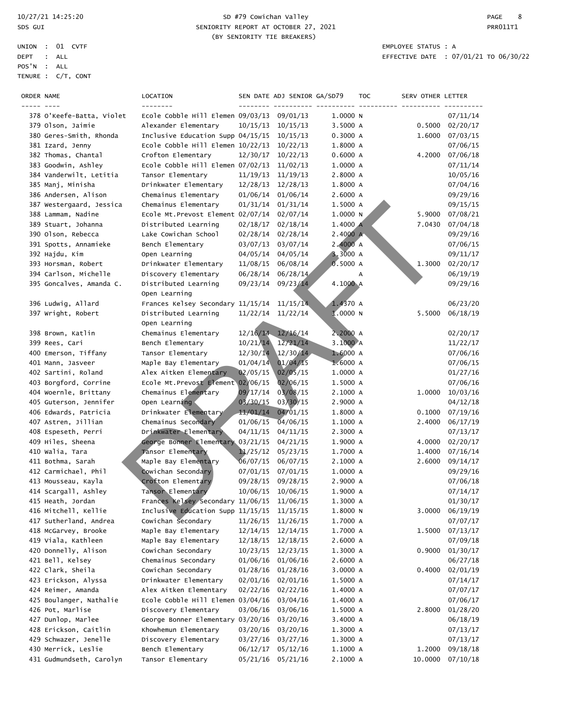|             | UNION : 01 CVTF    | EMPLOYEE STATUS : A |  |
|-------------|--------------------|---------------------|--|
| DEPT : ALL  |                    | EFFECTIVE DATE : 07 |  |
| POS'N : ALL |                    |                     |  |
|             | TENURE : C/T, CONT |                     |  |

### 10/27/21 14:25:20 SD #79 Cowichan Valley PAGE 8 SPS GUI SENIORITY REPORT AT OCTOBER 27, 2021 CHANGE AND REPORT AT OCTOBER 27, 2021 (BY SENIORITY TIE BREAKERS)

| ORDER NAME |                           | LOCATION<br>--------                       |          | SEN DATE ADJ SENIOR GA/SD79 |            | <b>TOC</b> | SERV OTHER LETTER |          |
|------------|---------------------------|--------------------------------------------|----------|-----------------------------|------------|------------|-------------------|----------|
|            | 378 O'Keefe-Batta, Violet | Ecole Cobble Hill Elemen 09/03/13 09/01/13 |          |                             | 1.0000N    |            |                   | 07/11/14 |
|            | 379 Olson, Jaimie         | Alexander Elementary                       | 10/15/13 | 10/15/13                    | 3.5000 A   |            | 0.5000            | 02/20/17 |
|            | 380 Geres-Smith, Rhonda   | Inclusive Education Supp 04/15/15          |          | 10/15/13                    | 0.3000 A   |            | 1.6000            | 07/03/15 |
|            | 381 Izard, Jenny          | Ecole Cobble Hill Elemen 10/22/13          |          | 10/22/13                    | 1.8000 A   |            |                   | 07/06/15 |
|            | 382 Thomas, Chantal       | Crofton Elementary                         | 12/30/17 | 10/22/13                    | 0.6000A    |            | 4.2000            | 07/06/18 |
|            | 383 Goodwin, Ashley       | Ecole Cobble Hill Elemen 07/02/13          |          | 11/02/13                    | 1.0000 A   |            |                   | 07/11/14 |
|            | 384 Vanderwilt, Letitia   | Tansor Elementary                          | 11/19/13 | 11/19/13                    | 2.8000 A   |            |                   | 10/05/16 |
|            | 385 Manj, Minisha         | Drinkwater Elementary                      | 12/28/13 | 12/28/13                    | 1.8000 A   |            |                   | 07/04/16 |
|            | 386 Andersen, Alison      | Chemainus Elementary                       | 01/06/14 | 01/06/14                    | 2.6000 A   |            |                   | 09/29/16 |
|            | 387 Westergaard, Jessica  | Chemainus Elementary                       | 01/31/14 | 01/31/14                    | 1.5000 A   |            |                   | 09/15/15 |
|            | 388 Lammam, Nadine        | Ecole Mt. Prevost Element 02/07/14         |          | 02/07/14                    | 1.0000N    |            | 5.9000            | 07/08/21 |
|            | 389 Stuart, Johanna       | Distributed Learning                       | 02/18/17 | 02/18/14                    | 1.4000 A   |            | 7.0430            | 07/04/18 |
|            | 390 Olson, Rebecca        | Lake Cowichan School                       | 02/28/14 | 02/28/14                    | 2.4000 A   |            |                   | 09/29/16 |
|            | 391 Spotts, Annamieke     | Bench Elementary                           | 03/07/13 | 03/07/14                    | 2.4000A    |            |                   | 07/06/15 |
|            | 392 Hajdu, Kim            | Open Learning                              | 04/05/14 | 04/05/14                    | 3.3000 A   |            |                   | 09/11/17 |
|            | 393 Horsman, Robert       | Drinkwater Elementary                      | 11/08/15 | 06/08/14                    | 0.5000 A   |            | 1.3000            | 02/20/17 |
|            | 394 Carlson, Michelle     | Discovery Elementary                       | 06/28/14 | 06/28/14                    |            | А          |                   | 06/19/19 |
|            | 395 Goncalves, Amanda C.  | Distributed Learning                       | 09/23/14 | 09/23/14                    | 4.1000 A   |            |                   | 09/29/16 |
|            |                           | Open Learning                              |          |                             |            |            |                   |          |
|            | 396 Ludwig, Allard        | Frances Kelsey Secondary 11/15/14          |          | 11/15/14                    | 1.4370 A   |            |                   | 06/23/20 |
|            | 397 Wright, Robert        | Distributed Learning                       | 11/22/14 | 11/22/14                    | 1.0000N    |            | 5.5000            | 06/18/19 |
|            |                           | Open Learning                              |          |                             |            |            |                   |          |
|            | 398 Brown, Katlin         | Chemainus Elementary                       |          | $12/16/14$ $12/16/14$       | 2.2000 A   |            |                   | 02/20/17 |
|            | 399 Rees, Cari            | Bench Elementary                           | 10/21/14 | 12/21/14                    | 3.1000 A   |            |                   | 11/22/17 |
|            | 400 Emerson, Tiffany      | Tansor Elementary                          | 12/30/14 | 12/30/14                    | 1.6000 A   |            |                   | 07/06/16 |
|            | 401 Mann, Jasveer         | Maple Bay Elementary                       | 01/04/14 | 01/04/15                    | 1.6000A    |            |                   | 07/06/15 |
|            | 402 Sartini, Roland       | Alex Aitken Elementary                     | 02/05/15 | 02/05/15                    | 1.0000 A   |            |                   | 01/27/16 |
|            | 403 Borgford, Corrine     | Ecole Mt. Prevost Element 02/06/15         |          | 02/06/15                    | 1.5000 A   |            |                   | 07/06/16 |
|            | 404 Woernle, Brittany     | Chemainus Elementary                       | 09/17/14 | 03/08/15                    | 2.1000 A   |            | 1.0000            | 10/03/16 |
|            | 405 Guterson, Jennifer    | Open Learning                              | 03/30/15 | 03/30/15                    | 2.9000 A   |            |                   | 04/12/18 |
|            | 406 Edwards, Patricia     | Drinkwater Elementary                      | 11/01/14 | 04/01/15                    | 1.8000 A   |            | 0.1000            | 07/19/16 |
|            | 407 Astren, Jillian       | Chemainus Secondary                        | 01/06/15 | $\sqrt{04/06/15}$           | 1.1000 A   |            | 2.4000            | 06/17/19 |
|            | 408 Espeseth, Perri       | Drinkwater Elementary                      | 04/11/15 | 04/11/15                    | 2.3000 A   |            |                   | 07/13/17 |
|            | 409 Hiles, Sheena         | George Bonner Elementary                   | 03/21/15 | 04/21/15                    | 1.9000 A   |            | 4.0000            | 02/20/17 |
|            | 410 Walia, Tara           | Tansor Elementary                          | 11/25/12 | 05/23/15                    | 1.7000 A   |            | 1.4000            | 07/16/14 |
|            | 411 Bothma, Sarah         | Maple Bay Elementary                       | 06/07/15 | 06/07/15                    | 2.1000 A   |            | 2.6000            | 09/14/17 |
|            | 412 Carmichael, Phil      | Cowichan Secondary                         | 07/01/15 | 07/01/15                    | 1.0000 A   |            |                   | 09/29/16 |
|            | 413 Mousseau, Kayla       | Crofton Elementary                         | 09/28/15 | 09/28/15                    | 2.9000 A   |            |                   | 07/06/18 |
|            | 414 Scargall, Ashley      | Tansor Elementary                          | 10/06/15 | 10/06/15                    | 1.9000 A   |            |                   | 07/14/17 |
|            | 415 Heath, Jordan         | Frances Kelsey Secondary 11/06/15 11/06/15 |          |                             | 1.3000 A   |            |                   | 01/30/17 |
|            | 416 Mitchell, Kellie      | Inclusive Education Supp 11/15/15          |          | 11/15/15                    | 1.8000 N   |            | 3.0000            | 06/19/19 |
|            | 417 Sutherland, Andrea    | Cowichan Secondary                         | 11/26/15 | 11/26/15                    | 1.7000 A   |            |                   | 07/07/17 |
|            | 418 McGarvey, Brooke      | Maple Bay Elementary                       | 12/14/15 | 12/14/15                    | 1.7000 A   |            | 1.5000            | 07/13/17 |
|            | 419 Viala, Kathleen       | Maple Bay Elementary                       | 12/18/15 | 12/18/15                    | 2.6000 A   |            |                   | 07/09/18 |
|            | 420 Donnelly, Alison      | Cowichan Secondary                         | 10/23/15 | 12/23/15                    | 1.3000 A   |            | 0.9000            | 01/30/17 |
|            | 421 Bell, Kelsey          | Chemainus Secondary                        | 01/06/16 | 01/06/16                    | 2.6000 A   |            |                   | 06/27/18 |
|            | 422 Clark, Sheila         | Cowichan Secondary                         | 01/28/16 | 01/28/16                    | 3.0000 A   |            | 0.4000            | 02/01/19 |
|            | 423 Erickson, Alyssa      | Drinkwater Elementary                      | 02/01/16 | 02/01/16                    | 1.5000 A   |            |                   | 07/14/17 |
|            | 424 Reimer, Amanda        | Alex Aitken Elementary                     | 02/22/16 | 02/22/16                    | 1.4000 A   |            |                   | 07/07/17 |
|            | 425 Boulanger, Nathalie   | Ecole Cobble Hill Elemen 03/04/16          |          | 03/04/16                    | 1.4000 A   |            |                   | 07/06/17 |
|            | 426 Pot, Marlise          | Discovery Elementary                       | 03/06/16 | 03/06/16                    | 1.5000 A   |            | 2.8000            | 01/28/20 |
|            | 427 Dunlop, Marlee        | George Bonner Elementary 03/20/16          |          | 03/20/16                    | 3.4000 A   |            |                   | 06/18/19 |
|            | 428 Erickson, Caitlin     | Khowhemun Elementary                       | 03/20/16 | 03/20/16                    | 1.3000 A   |            |                   | 07/13/17 |
|            | 429 Schwazer, Jenelle     | Discovery Elementary                       | 03/27/16 | 03/27/16                    | 1.3000 A   |            |                   | 07/13/17 |
|            | 430 Merrick, Leslie       | Bench Elementary                           | 06/12/17 | 05/12/16                    | $1.1000$ A |            | 1.2000            | 09/18/18 |
|            | 431 Gudmundseth, Carolyn  | Tansor Elementary                          | 05/21/16 | 05/21/16                    | 2.1000 A   |            | 10.0000           | 07/10/18 |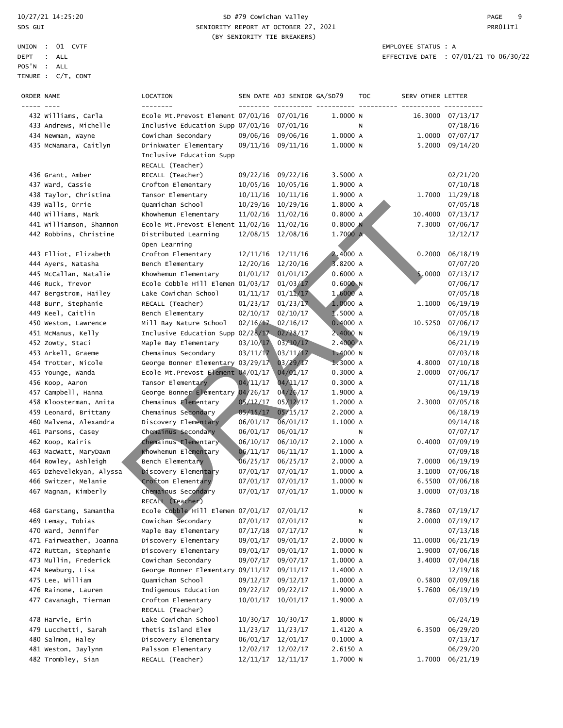|            | UNION : 01 CVTF    |  |
|------------|--------------------|--|
| DEPT : ALL |                    |  |
| POS'N      | : ALL              |  |
|            | TENURE : C/T, CONT |  |

### 10/27/21 14:25:20 SD #79 Cowichan Valley PAGE 9 SDS GUI SENIORITY REPORT AT OCTOBER 27, 2021 CHANGE AND REPORT AT OCTOBER 27, 2021 (BY SENIORITY TIE BREAKERS)

EMPLOYEE STATUS : A EFFECTIVE DATE :  $07/01/21$  TO  $06/30/22$ 

| ORDER NAME |                                                 | LOCATION<br>--------                                                  |          | SEN DATE ADJ SENIOR GA/SD79 |                      | <b>TOC</b> | SERV OTHER LETTER |                      |
|------------|-------------------------------------------------|-----------------------------------------------------------------------|----------|-----------------------------|----------------------|------------|-------------------|----------------------|
|            | 432 Williams, Carla                             | Ecole Mt. Prevost Element 07/01/16 07/01/16                           |          |                             | 1.0000N              |            | 16.3000           | 07/13/17             |
|            | 433 Andrews, Michelle                           | Inclusive Education Supp 07/01/16                                     |          | 07/01/16                    |                      | Ν          |                   | 07/18/16             |
|            | 434 Newman, Wayne                               | Cowichan Secondary                                                    | 09/06/16 | 09/06/16                    | 1.0000 A             |            | 1.0000            | 07/07/17             |
|            | 435 McNamara, Caitlyn                           | Drinkwater Elementary<br>Inclusive Education Supp<br>RECALL (Teacher) | 09/11/16 | 09/11/16                    | 1.0000 N             |            | 5.2000            | 09/14/20             |
|            | 436 Grant, Amber                                | RECALL (Teacher)                                                      | 09/22/16 | 09/22/16                    | 3.5000 A             |            |                   | 02/21/20             |
|            | 437 Ward, Cassie                                | Crofton Elementary                                                    | 10/05/16 | 10/05/16                    | 1.9000 A             |            |                   | 07/10/18             |
|            | 438 Taylor, Christina                           | Tansor Elementary                                                     | 10/11/16 | 10/11/16                    | 1.9000 A             |            | 1.7000            | 11/29/18             |
|            | 439 Walls, Orrie                                | Quamichan School                                                      | 10/29/16 | 10/29/16                    | 1.8000 A             |            |                   | 07/05/18             |
|            | 440 Williams, Mark                              | Khowhemun Elementary                                                  | 11/02/16 | 11/02/16                    | 0.8000A              |            | 10.4000           | 07/13/17             |
|            | 441 Williamson, Shannon                         | Ecole Mt. Prevost Element 11/02/16                                    |          | 11/02/16                    | 0.8000N              |            | 7.3000            | 07/06/17             |
|            | 442 Robbins, Christine                          | Distributed Learning<br>Open Learning                                 | 12/08/15 | 12/08/16                    | 1.7000 A             |            |                   | 12/12/17             |
|            | 443 Elliot, Elizabeth                           | Crofton Elementary                                                    | 12/11/16 | 12/11/16                    | 2.4000A              |            | 0.2000            | 06/18/19             |
|            | 444 Ayers, Natasha                              | Bench Elementary                                                      | 12/20/16 | 12/20/16                    | 3.8200 A             |            |                   | 07/07/20             |
|            | 445 McCallan, Natalie                           | Khowhemun Elementary                                                  | 01/01/17 | 01/01/17                    | 0.6000A              |            | 5.0000            | 07/13/17             |
|            | 446 Ruck, Trevor                                | Ecole Cobble Hill Elemen 01/03/17                                     |          | 01/03/17                    | 0.6000N              |            |                   | 07/06/17             |
|            | 447 Bergstrom, Hailey                           | Lake Cowichan School                                                  | 01/11/17 | 01/11/17                    | 1,6000 A             |            |                   | 07/05/18             |
|            | 448 Burr, Stephanie                             | RECALL (Teacher)                                                      | 01/23/17 | 01/23/17                    | 1.0000 A             |            | 1.1000            | 06/19/19             |
|            | 449 Keel, Caitlin                               | Bench Elementary                                                      | 02/10/17 | 02/10/17                    | 1.5000 A             |            |                   | 07/05/18             |
|            | 450 Weston, Lawrence                            | Mill Bay Nature School                                                | 02/16/17 | 02/16/17                    | 0.4000A              |            | 10.5250           | 07/06/17             |
|            | 451 McManus, Kelly                              | Inclusive Education Supp 02/28/17 02/28/17                            |          |                             | 2.4000 N             |            |                   | 06/19/19             |
|            | 452 Zowty, Staci                                | Maple Bay Elementary                                                  | 03/10/17 | 03/10/17                    | 2.4000 A             |            |                   | 06/21/19             |
|            | 453 Arkell, Graeme                              | Chemainus Secondary                                                   | 03/11/17 | 03/11/17                    | 1.4000 N             |            |                   | 07/03/18             |
|            | 454 Trotter, Nicole                             | George Bonner Elementary 03/29/17                                     |          | 03/29/17                    | 1.3000A              |            | 4.8000            | 07/10/18             |
|            | 455 Younge, Wanda                               | Ecole Mt. Prevost Element 04/01/17                                    |          | 04/01/17                    | 0.3000A              |            | 2.0000            | 07/06/17             |
|            | 456 Koop, Aaron                                 | Tansor Elementary<br>George Bonner Elementary 04/26/17                | 04/11/17 | 04/11/17<br>04/26/17        | 0.3000 A             |            |                   | 07/11/18<br>06/19/19 |
|            | 457 Campbell, Hanna                             | Chemainus Elementary                                                  | 05/12/17 | 05/12/17                    | 1.9000 A<br>1.2000 A |            | 2.3000            | 07/05/18             |
|            | 458 Kloosterman, Anita<br>459 Leonard, Brittany | Chemainus Secondary                                                   | 05/15/17 | 05/15/17                    | 2.2000 A             |            |                   | 06/18/19             |
|            | 460 Malvena, Alexandra                          | Discovery Elementary                                                  | 06/01/17 | $\frac{1}{06}$ /01/17       | 1.1000 A             |            |                   | 09/14/18             |
|            | 461 Parsons, Casey                              | Chemainus Secondary                                                   | 06/01/17 | 06/01/17                    |                      | N          |                   | 07/07/17             |
|            | 462 Koop, Kairis                                | Chemainus Elementary                                                  | 06/10/17 | 06/10/17                    | 2.1000 A             |            | 0.4000            | 07/09/19             |
|            | 463 MacWatt, MaryDawn                           | Khowhemun Elementary                                                  | 06/11/17 | 06/11/17                    | 1.1000 A             |            |                   | 07/09/18             |
|            | 464 Rowley, Ashleigh                            | Bench Elementary                                                      | 06/25/17 | 06/25/17                    | 2.0000 A             |            | 7.0000            | 06/19/19             |
|            | 465 Dzhevelekyan, Alyssa                        | Discovery Elementary                                                  | 07/01/17 | 07/01/17                    | 1.0000 A             |            | 3.1000            | 07/06/18             |
|            | 466 Switzer, Melanie                            | Crofton Elementary                                                    | 07/01/17 | 07/01/17                    | 1.0000N              |            | 6.5500            | 07/06/18             |
|            | 467 Magnan, Kimberly                            | Chemainus Secondary<br>RECALL (Teacher)                               | 07/01/17 | 07/01/17                    | 1.0000N              |            | 3.0000            | 07/03/18             |
|            | 468 Garstang, Samantha                          | Ecole Cobble Hill Elemen 07/01/17                                     |          | 07/01/17                    |                      | N          | 8.7860            | 07/19/17             |
|            | 469 Lemay, Tobias                               | Cowichan Secondary                                                    | 07/01/17 | 07/01/17                    |                      | N          | 2.0000            | 07/19/17             |
|            | 470 Ward, Jennifer                              | Maple Bay Elementary                                                  | 07/17/18 | 07/17/17                    |                      | Ν          |                   | 07/13/18             |
|            | 471 Fairweather, Joanna                         | Discovery Elementary                                                  | 09/01/17 | 09/01/17                    | 2.0000 N             |            | 11.0000           | 06/21/19             |
|            | 472 Ruttan, Stephanie                           | Discovery Elementary                                                  | 09/01/17 | 09/01/17                    | 1.0000 N             |            | 1.9000            | 07/06/18             |
|            | 473 Mullin, Frederick                           | Cowichan Secondary                                                    | 09/07/17 | 09/07/17                    | 1.0000 A             |            | 3.4000            | 07/04/18             |
|            | 474 Newburg, Lisa                               | George Bonner Elementary 09/11/17                                     |          | 09/11/17                    | 1.4000 A             |            |                   | 12/19/18             |
|            | 475 Lee, William                                | Quamichan School                                                      | 09/12/17 | 09/12/17                    | 1.0000 A             |            | 0.5800            | 07/09/18             |
|            | 476 Rainone, Lauren                             | Indigenous Education                                                  | 09/22/17 | 09/22/17                    | 1.9000 A             |            | 5.7600            | 06/19/19             |
|            | 477 Cavanagh, Tiernan                           | Crofton Elementary<br>RECALL (Teacher)                                | 10/01/17 | 10/01/17                    | 1.9000 A             |            |                   | 07/03/19             |
|            | 478 Harvie, Erin                                | Lake Cowichan School                                                  | 10/30/17 | 10/30/17                    | 1.8000 N             |            |                   | 06/24/19             |
|            | 479 Lucchetti, Sarah                            | Thetis Island Elem                                                    | 11/23/17 | 11/23/17                    | 1.4120 A             |            | 6.3500            | 06/29/20             |
|            | 480 Salmon, Haley                               | Discovery Elementary                                                  | 06/01/17 | 12/01/17                    | 0.1000 A             |            |                   | 07/13/17             |
|            | 481 Weston, Jaylynn                             | Palsson Elementary                                                    | 12/02/17 | 12/02/17                    | 2.6150 A             |            |                   | 06/29/20             |
|            | 482 Trombley, Sian                              | RECALL (Teacher)                                                      | 12/11/17 | 12/11/17                    | 1.7000 N             |            | 1.7000            | 06/21/19             |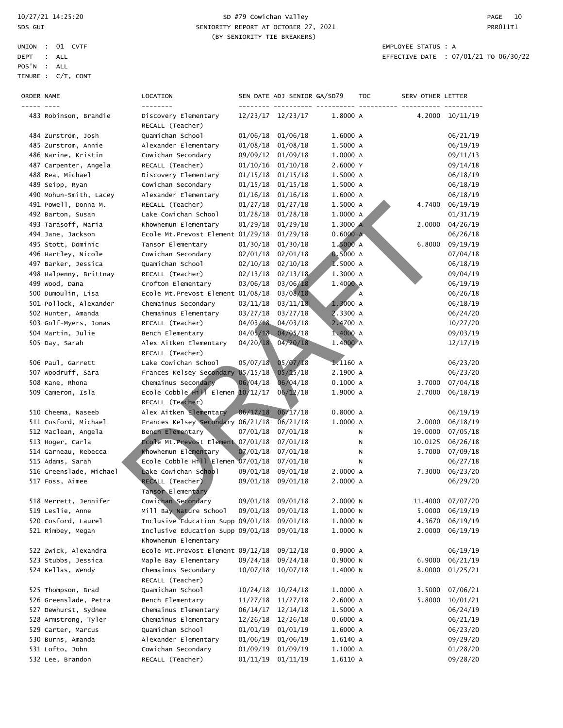### 10/27/21 14:25:20 SD #79 Cowichan Valley PAGE 10 SDS GUI SENIORITY REPORT AT OCTOBER 27, 2021 CHANGE AND REPORT AT OCTOBER 27, 2021 (BY SENIORITY TIE BREAKERS)

| ORDER NAME |                         | LOCATION<br>--------                                      |          | SEN DATE ADJ SENIOR GA/SD79 |            | <b>TOC</b> | SERV OTHER LETTER |                  |
|------------|-------------------------|-----------------------------------------------------------|----------|-----------------------------|------------|------------|-------------------|------------------|
|            | 483 Robinson, Brandie   | Discovery Elementary<br>RECALL (Teacher)                  |          | 12/23/17 12/23/17           | 1.8000 A   |            |                   | 4.2000 10/11/19  |
|            | 484 Zurstrom, Josh      | Quamichan School                                          | 01/06/18 | 01/06/18                    | 1.6000 A   |            |                   | 06/21/19         |
|            | 485 Zurstrom, Annie     | Alexander Elementary                                      | 01/08/18 | 01/08/18                    | 1.5000 A   |            |                   | 06/19/19         |
|            | 486 Narine, Kristin     | Cowichan Secondary                                        | 09/09/12 | 01/09/18                    | 1.0000 A   |            |                   | 09/11/13         |
|            | 487 Carpenter, Angela   | RECALL (Teacher)                                          | 01/10/16 | 01/10/18                    | 2.6000 Y   |            |                   | 09/14/18         |
|            | 488 Rea, Michael        | Discovery Elementary                                      | 01/15/18 | 01/15/18                    | 1.5000 A   |            |                   | 06/18/19         |
|            | 489 Seipp, Ryan         | Cowichan Secondary                                        | 01/15/18 | 01/15/18                    | 1.5000 A   |            |                   | 06/18/19         |
|            | 490 Mohun-Smith, Lacey  | Alexander Elementary                                      | 01/16/18 | 01/16/18                    | 1.6000 A   |            |                   | 06/18/19         |
|            | 491 Powell, Donna M.    | RECALL (Teacher)                                          | 01/27/18 | 01/27/18                    | 1.5000 A   |            | 4.7400            | 06/19/19         |
|            | 492 Barton, Susan       | Lake Cowichan School                                      | 01/28/18 | 01/28/18                    | 1.0000 A   |            |                   | 01/31/19         |
|            | 493 Tarasoff, Maria     | Khowhemun Elementary                                      | 01/29/18 | 01/29/18                    | 1.3000 A   |            | 2,0000            | 04/26/19         |
|            | 494 Jane, Jackson       | Ecole Mt. Prevost Element 01/29/18                        |          | 01/29/18                    | 0.6000 A   |            |                   | 06/26/18         |
|            | 495 Stott, Dominic      | Tansor Elementary                                         | 01/30/18 | 01/30/18                    | 1.5000 A   |            | 6.8000            | 09/19/19         |
|            | 496 Hartley, Nicole     | Cowichan Secondary                                        | 02/01/18 | 02/01/18                    | 0.5000A    |            |                   | 07/04/18         |
|            | 497 Barker, Jessica     | Quamichan School                                          | 02/10/18 | 02/10/18                    | 1.5000 A   |            |                   | 06/18/19         |
|            | 498 Halpenny, Brittnay  | RECALL (Teacher)                                          | 02/13/18 | 02/13/18                    | 1.3000 A   |            |                   | 09/04/19         |
|            | 499 Wood, Dana          | Crofton Elementary                                        | 03/06/18 | 03/06/18                    | 1.4000 A   |            |                   | 06/19/19         |
|            | 500 Dumoulin, Lisa      | Ecole Mt. Prevost Element 01/08/18                        |          | 03/08/18                    |            | Α          |                   | 06/26/18         |
|            | 501 Pollock, Alexander  | Chemainus Secondary                                       | 03/11/18 | 03/11/18                    | 1.3000 A   |            |                   | 06/18/19         |
|            | 502 Hunter, Amanda      | Chemainus Elementary                                      | 03/27/18 | 03/27/18                    | 2.3300 A   |            |                   | 06/24/20         |
|            | 503 Golf-Myers, Jonas   | RECALL (Teacher)                                          |          | 04/03/18 04/03/18           | 2.4700 A   |            |                   | 10/27/20         |
|            | 504 Martin, Julie       | Bench Elementary                                          |          | 04/05/18 04/05/18           | 1.4000 A   |            |                   | 09/03/19         |
|            | 505 Day, Sarah          | Alex Aitken Elementary                                    | 04/20/18 | 04/20/18                    | 1.4000 A   |            |                   | 12/17/19         |
|            |                         | RECALL (Teacher)                                          |          |                             |            |            |                   |                  |
|            | 506 Paul, Garrett       | Lake Cowichan School                                      | 05/07/18 | 05/07/18                    | $1.1160$ A |            |                   | 06/23/20         |
|            | 507 Woodruff, Sara      | Frances Kelsey Secondary 05/15/18                         |          | 05/15/18                    | 2.1900 A   |            |                   | 06/23/20         |
|            | 508 Kane, Rhona         | Chemainus Secondary                                       | 06/04/18 | 06/04/18                    | 0.1000A    |            | 3.7000            | 07/04/18         |
|            | 509 Cameron, Isla       | Ecole Cobble $H_1V$ Elemen $10/12/17$                     |          | 06/12/18                    | 1.9000 A   |            | 2.7000            | 06/18/19         |
|            |                         | RECALL (Teacher)                                          |          |                             |            |            |                   |                  |
|            | 510 Cheema, Naseeb      | Alex Aitken Elementary                                    | 06/17/18 | 06/17/18                    | 0.8000A    |            |                   | 06/19/19         |
|            | 511 Cosford, Michael    | Frances Kelsey Secondary 06/21/18                         |          | 06/21/18                    | 1.0000 A   |            | 2.0000            | 06/18/19         |
|            | 512 Maclean, Angela     | Bench Elementary                                          | 07/01/18 | 07/01/18                    |            | Ν          | 19.0000           | 07/05/18         |
|            | 513 Hoger, Carla        | Ecole Mt. Prevost Element 07/01/18                        |          | 07/01/18                    |            | Ν          | 10.0125           | 06/26/18         |
|            | 514 Garneau, Rebecca    | Khowhemun Elementary                                      | 07/01/18 | 07/01/18                    |            | Ν          | 5.7000            | 07/09/18         |
|            | 515 Adams, Sarah        | Ecole Cobble $H_1$ <sup>11</sup> Elemen 07/01/18          |          | 07/01/18                    |            | N          |                   | 06/27/18         |
|            | 516 Greenslade, Michael | Lake Cowichan School                                      | 09/01/18 | 09/01/18                    | 2.0000 A   |            | 7.3000            | 06/23/20         |
|            | 517 Foss, Aimee         | RECALL (Teacher)<br>Tansor Elementary                     | 09/01/18 | 09/01/18                    | 2.0000 A   |            |                   | 06/29/20         |
|            | 518 Merrett, Jennifer   | Cowichan Secondary                                        |          | 09/01/18 09/01/18           | 2.0000 N   |            |                   | 11.4000 07/07/20 |
|            | 519 Leslie, Anne        | Mill Bay Nature School                                    |          | 09/01/18 09/01/18           | 1.0000 N   |            | 5.0000            | 06/19/19         |
|            | 520 Cosford, Laurel     | Inclusive Education Supp 09/01/18                         |          | 09/01/18                    | 1.0000 N   |            | 4.3670            | 06/19/19         |
|            | 521 Rimbey, Megan       | Inclusive Education Supp 09/01/18<br>Khowhemun Elementary |          | 09/01/18                    | 1.0000 N   |            | 2.0000            | 06/19/19         |
|            | 522 Zwick, Alexandra    | Ecole Mt. Prevost Element 09/12/18                        |          | 09/12/18                    | 0.9000 A   |            |                   | 06/19/19         |
|            | 523 Stubbs, Jessica     | Maple Bay Elementary                                      | 09/24/18 | 09/24/18                    | 0.9000N    |            | 6.9000            | 06/21/19         |
|            | 524 Kellas, Wendy       | Chemainus Secondary<br>RECALL (Teacher)                   | 10/07/18 | 10/07/18                    | 1.4000 N   |            | 8.0000            | 01/25/21         |
|            | 525 Thompson, Brad      | Quamichan School                                          | 10/24/18 | 10/24/18                    | 1.0000 A   |            | 3.5000            | 07/06/21         |
|            | 526 Greenslade, Petra   | Bench Elementary                                          | 11/27/18 | 11/27/18                    | 2.6000 A   |            | 5.8000            | 10/01/21         |
|            | 527 Dewhurst, Sydnee    | Chemainus Elementary                                      | 06/14/17 | 12/14/18                    | 1.5000 A   |            |                   | 06/24/19         |
|            | 528 Armstrong, Tyler    | Chemainus Elementary                                      | 12/26/18 | 12/26/18                    | 0.6000A    |            |                   | 06/21/19         |
|            | 529 Carter, Marcus      | Quamichan School                                          | 01/01/19 | 01/01/19                    | 1.6000 A   |            |                   | 06/23/20         |
|            | 530 Burns, Amanda       | Alexander Elementary                                      | 01/06/19 | 01/06/19                    | 1.6140 A   |            |                   | 09/29/20         |
|            | 531 Lofto, John         | Cowichan Secondary                                        | 01/09/19 | 01/09/19                    | 1.1000 A   |            |                   | 01/28/20         |
|            | 532 Lee, Brandon        | RECALL (Teacher)                                          |          | $01/11/19$ $01/11/19$       | 1.6110 A   |            |                   | 09/28/20         |